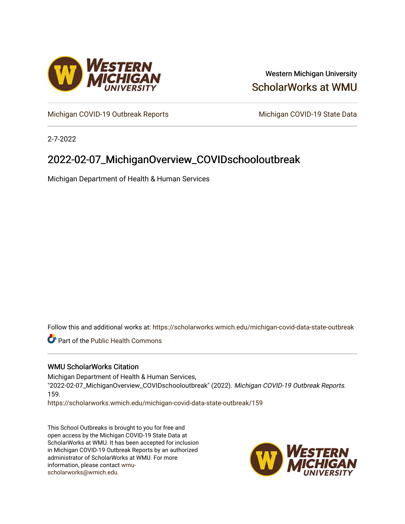

### Western Michigan University [ScholarWorks at WMU](https://scholarworks.wmich.edu/)

[Michigan COVID-19 Outbreak Reports](https://scholarworks.wmich.edu/michigan-covid-data-state-outbreak) Michigan COVID-19 State Data

2-7-2022

## 2022-02-07\_MichiganOverview\_COVIDschooloutbreak

Michigan Department of Health & Human Services

Follow this and additional works at: [https://scholarworks.wmich.edu/michigan-covid-data-state-outbreak](https://scholarworks.wmich.edu/michigan-covid-data-state-outbreak?utm_source=scholarworks.wmich.edu%2Fmichigan-covid-data-state-outbreak%2F159&utm_medium=PDF&utm_campaign=PDFCoverPages)

Part of the [Public Health Commons](http://network.bepress.com/hgg/discipline/738?utm_source=scholarworks.wmich.edu%2Fmichigan-covid-data-state-outbreak%2F159&utm_medium=PDF&utm_campaign=PDFCoverPages) 

#### WMU ScholarWorks Citation

Michigan Department of Health & Human Services, "2022-02-07\_MichiganOverview\_COVIDschooloutbreak" (2022). Michigan COVID-19 Outbreak Reports. 159.

[https://scholarworks.wmich.edu/michigan-covid-data-state-outbreak/159](https://scholarworks.wmich.edu/michigan-covid-data-state-outbreak/159?utm_source=scholarworks.wmich.edu%2Fmichigan-covid-data-state-outbreak%2F159&utm_medium=PDF&utm_campaign=PDFCoverPages) 

This School Outbreaks is brought to you for free and open access by the Michigan COVID-19 State Data at ScholarWorks at WMU. It has been accepted for inclusion in Michigan COVID-19 Outbreak Reports by an authorized administrator of ScholarWorks at WMU. For more information, please contact [wmu](mailto:wmu-scholarworks@wmich.edu)[scholarworks@wmich.edu.](mailto:wmu-scholarworks@wmich.edu)

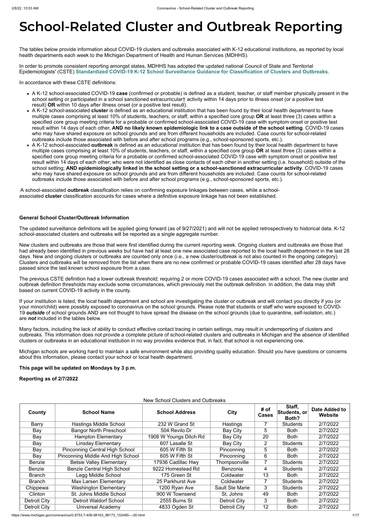# **School-Related Cluster and Outbreak Reporting**

The tables below provide information about COVID-19 clusters and outbreaks associated with K-12 educational institutions, as reported by local health departments each week to the Michigan Department of Health and Human Services (MDHHS).

In order to promote consistent reporting amongst states, MDHHS has adopted the updated national Council of State and Territorial Epidemiologists' (CSTE) **[Standardized COVID-19 K-12 School Surveillance Guidance for Classification of Clusters and Outbreaks](https://preparedness.cste.org/wp-content/uploads/2021/08/CSTE-Standardized-COVID-19-K-12-School-Surveillance-Guidance-for-Classification-of-Clusters-and-Outbreaks.pdf)**.

In accordance with these CSTE definitions:

- A K-12 school-associated COVID-19 **case** (confirmed or probable) is defined as a student, teacher, or staff member physically present in the school setting or participated in a school sanctioned extracurricular† activity within 14 days prior to illness onset (or a positive test result) **OR** within 10 days after illness onset (or a positive test result).
- A K-12 school-associated **cluster** is defined as an educational institution that has been found by their local health department to have multiple cases comprising at least 10% of students, teachers, or staff, within a specified core group **OR** at least three (3) cases within a specified core group meeting criteria for a probable or confirmed school-associated COVID-19 case with symptom onset or positive test result within 14 days of each other, **AND no likely known epidemiologic link to a case outside of the school setting**. COVID-19 cases who may have shared exposure on school grounds and are from different households are included. Case counts for school-related outbreaks include those associated with before and after school programs (e.g., school-sponsored sports, etc.).
- A K-12 school-associated **outbreak** is defined as an educational institution that has been found by their local health department to have multiple cases comprising at least 10% of students, teachers, or staff, within a specified core group **OR** at least three (3) cases within a specified core group meeting criteria for a probable or confirmed school-associated COVID-19 case with symptom onset or positive test result within 14 days of each other; who were not identified as close contacts of each other in another setting (i.e. household) outside of the school setting; **AND epidemiologically linked in the school setting or a school-sanctioned extracurricular activity**. COVID-19 cases who may have shared exposure on school grounds and are from different households are included. Case counts for school-related outbreaks include those associated with before and after school programs (e.g., school-sponsored sports, etc.).

A school-associated **outbreak** classification relies on confirming exposure linkages between cases, while a schoolassociated **cluster** classification accounts for cases where a definitive exposure linkage has not been established.

#### **General School Cluster/Outbreak Information**

The updated surveillance definitions will be applied going forward (as of 9/27/2021) and will not be applied retrospectively to historical data. K-12 school-associated clusters and outbreaks will be reported as a single aggregate number.

New clusters and outbreaks are those that were first identified during the current reporting week. Ongoing clusters and outbreaks are those that had already been identified in previous weeks but have had at least one new associated case reported to the local health department in the last 28 days. New and ongoing clusters or outbreaks are counted only once (i.e., a new cluster/outbreak is not also counted in the ongoing category). Clusters and outbreaks will be removed from the list when there are no new confirmed or probable COVID-19 cases identified after 28 days have passed since the last known school exposure from a case.

The previous CSTE definition had a lower outbreak threshold; requiring 2 or more COVID-19 cases associated with a school. The new cluster and outbreak definition thresholds may exclude some circumstances, which previously met the outbreak definition. In addition, the data may shift based on current COVID-19 activity in the county.

If your institution is listed, the local health department and school are investigating the cluster or outbreak and will contact you directly if you (or your minor/child) were possibly exposed to coronavirus on the school grounds. Please note that students or staff who were exposed to COVID-19 *outside* of school grounds AND are not thought to have spread the disease on the school grounds (due to quarantine, self-isolation, etc.) are *not* included in the tables below.

Many factors, including the lack of ability to conduct effective contact tracing in certain settings, may result in underreporting of clusters and outbreaks. This information does not provide a complete picture of school-related clusters and outbreaks in Michigan and the absence of identified clusters or outbreaks in an educational institution in no way provides evidence that, in fact, that school is not experiencing one.

Michigan schools are working hard to maintain a safe environment while also providing quality education. Should you have questions or concerns about this information, please contact your school or local health department.

**This page will be updated on Mondays by 3 p.m.**

**Reporting as of 2/7/2022**

New School Clusters and Outbreaks

| County              | <b>School Name</b>                    | <b>School Address</b>  | City                   | # of<br><b>Cases</b> | Staff,<br>Students, or<br>Both? | Date Added to<br>Website |
|---------------------|---------------------------------------|------------------------|------------------------|----------------------|---------------------------------|--------------------------|
| Barry               | <b>Hastings Middle School</b>         | 232 W Grand St         | Hastings               |                      | <b>Students</b>                 | 2/7/2022                 |
| Bay                 | <b>Bangor North Preschool</b>         | 504 Revilo Dr          | Bay City               |                      | <b>Both</b>                     | 2/7/2022                 |
| Bay                 | <b>Hampton Elementary</b>             | 1908 W Youngs Ditch Rd | Bay City               | 20                   | <b>Both</b>                     | 2/7/2022                 |
| Bay                 | Linsday Elementary                    | 607 Lasalle St         | Bay City               | $\overline{2}$       | <b>Students</b>                 | 2/7/2022                 |
| Bay                 | <b>Pinconning Central High School</b> | 605 W Fifth St         | Pinconning             | 5                    | <b>Both</b>                     | 2/7/2022                 |
| Bay                 | Pinconning Middle And High School     | 605 W Fifth St         | Pinconning             | 6                    | <b>Both</b>                     | 2/7/2022                 |
| <b>Benzie</b>       | <b>Betsie Valley Elementary</b>       | 17936 Cadillac Hwy     | Thompsonville          | 7                    | <b>Students</b>                 | 2/7/2022                 |
| <b>Benzie</b>       | <b>Benzie Central High School</b>     | 9222 Homestead Rd      | <b>Benzonia</b>        | 4                    | <b>Students</b>                 | 2/7/2022                 |
| <b>Branch</b>       | Legg Middle School                    | 175 Green St           | Coldwater              | 13                   | <b>Both</b>                     | 2/7/2022                 |
| <b>Branch</b>       | <b>Max Larsen Elementary</b>          | 25 Parkhurst Ave       | Coldwater              | $\overline{7}$       | <b>Students</b>                 | 2/7/2022                 |
| Chippewa            | <b>Washington Elementary</b>          | 1200 Ryan Ave          | <b>Sault Ste Marie</b> | 3                    | <b>Students</b>                 | 2/7/2022                 |
| Clinton             | St. Johns Middle School               | 900 W Townsend         | St. Johns              | 49                   | <b>Both</b>                     | 2/7/2022                 |
| Detroit City        | <b>Detroit Waldorf School</b>         | 2555 Burns St          | <b>Detroit City</b>    | 3                    | <b>Both</b>                     | 2/7/2022                 |
| <b>Detroit City</b> | Universal Academy                     | 4833 Ogden St          | Detroit City           | 12                   | <b>Both</b>                     | 2/7/2022                 |

https://www.michigan.gov/coronavirus/0,9753,7-406-98163\_98173\_102480---,00.html 1/17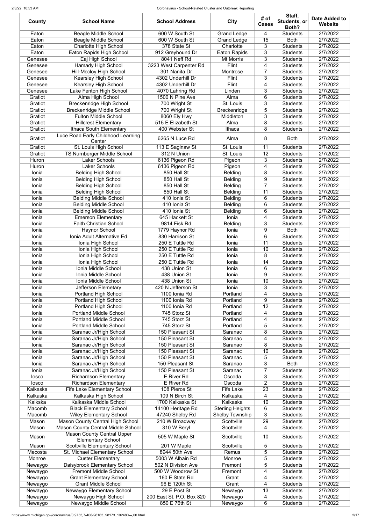| County             | <b>School Name</b>                                                      | <b>School Address</b>                     | <b>City</b>             | # of<br><b>Cases</b> | Staff,<br>Students, or<br>Both?    | Date Added to<br><b>Website</b> |
|--------------------|-------------------------------------------------------------------------|-------------------------------------------|-------------------------|----------------------|------------------------------------|---------------------------------|
| Eaton              | <b>Beagle Middle School</b>                                             | 600 W South St                            | <b>Grand Ledge</b>      | 4                    | <b>Students</b>                    | 2/7/2022                        |
| Eaton              | <b>Beagle Middle School</b>                                             | 600 W South St                            | Grand Ledge             | 15                   | <b>Both</b>                        | 2/7/2022                        |
| Eaton              | <b>Charlotte High School</b>                                            | 378 State St                              | Charlotte               | 3                    | <b>Students</b>                    | 2/7/2022                        |
| Eaton              | Eaton Rapids High School                                                | 912 Greyhound Dr                          | <b>Eaton Rapids</b>     | 3                    | <b>Students</b>                    | 2/7/2022                        |
| Genesee            | Eaj High School                                                         | 8041 Neff Rd                              | <b>Mt Morris</b>        | 3                    | <b>Students</b>                    | 2/7/2022                        |
| Genesee            | <b>Hamady High School</b>                                               | 3223 West Carpenter Rd                    | Flint                   | 4                    | <b>Students</b>                    | 2/7/2022                        |
| Genesee            | <b>Hill-Mccloy High School</b>                                          | 301 Nanita Dr                             | Montrose                | $\overline{7}$       | <b>Students</b>                    | 2/7/2022                        |
| Genesee<br>Genesee | <b>Kearsley High School</b><br><b>Kearsley High School</b>              | 4302 Underhill Dr<br>4302 Underhill Dr    | Flint<br>Flint          | 3<br>4               | <b>Students</b><br><b>Students</b> | 2/7/2022<br>2/7/2022            |
| Genesee            | Lake Fenton High School                                                 | 4070 Lahring Rd                           | Linden                  | 3                    | <b>Students</b>                    | 2/7/2022                        |
| Gratiot            | Alma High School                                                        | 1500 N Pine Ave                           | Alma                    | 6                    | <b>Students</b>                    | 2/7/2022                        |
| Gratiot            | <b>Breckenridge High School</b>                                         | 700 Wright St                             | St. Louis               | 3                    | <b>Students</b>                    | 2/7/2022                        |
| Gratiot            | <b>Breckenridge Middle School</b>                                       | 700 Wright St                             | Breckenridge            | 5                    | <b>Students</b>                    | 2/7/2022                        |
| Gratiot            | <b>Fulton Middle School</b>                                             | 8060 Ely Hwy                              | Middleton               | 3                    | <b>Students</b>                    | 2/7/2022                        |
| Gratiot            | <b>Hillcrest Elementary</b>                                             | 515 E Elizabeth St                        | Alma                    | 8                    | <b>Students</b>                    | 2/7/2022                        |
| Gratiot            | Ithaca South Elementary                                                 | 400 Webster St                            | Ithaca                  | 8                    | <b>Students</b>                    | 2/7/2022                        |
| Gratiot            | Luce Road Early Childhood Learning                                      | 6265 N Luce Rd                            | Alma                    | 8                    | <b>Both</b>                        | 2/7/2022                        |
| Gratiot            | Center<br>St. Louis High School                                         | 113 E Saginaw St                          | St. Louis               | 11                   | Students                           | 2/7/2022                        |
| Gratiot            | <b>TS Nurnberger Middle School</b>                                      | 312 N Union                               | St. Louis               | 12                   | <b>Students</b>                    | 2/7/2022                        |
| Huron              | <b>Laker Schools</b>                                                    | 6136 Pigeon Rd                            | Pigeon                  | 3                    | <b>Students</b>                    | 2/7/2022                        |
| Huron              | <b>Laker Schools</b>                                                    | 6136 Pigeon Rd                            | Pigeon                  | $\overline{4}$       | <b>Students</b>                    | 2/7/2022                        |
| Ionia              | <b>Belding High School</b>                                              | 850 Hall St                               | <b>Belding</b>          | 8                    | <b>Students</b>                    | 2/7/2022                        |
| Ionia              | <b>Belding High School</b>                                              | 850 Hall St                               | <b>Belding</b>          | 9                    | <b>Students</b>                    | 2/7/2022                        |
| Ionia              | <b>Belding High School</b>                                              | 850 Hall St                               | <b>Belding</b>          | $\overline{7}$       | <b>Students</b>                    | 2/7/2022                        |
| Ionia              | <b>Belding High School</b>                                              | 850 Hall St                               | <b>Belding</b>          | 11                   | <b>Students</b>                    | 2/7/2022                        |
| Ionia              | <b>Belding Middle School</b>                                            | 410 Ionia St                              | <b>Belding</b>          | 6                    | <b>Students</b>                    | 2/7/2022                        |
| Ionia              | <b>Belding Middle School</b>                                            | 410 Ionia St                              | <b>Belding</b>          | 6                    | <b>Students</b>                    | 2/7/2022                        |
| Ionia              | <b>Belding Middle School</b>                                            | 410 Ionia St                              | <b>Belding</b>          | 6                    | <b>Students</b>                    | 2/7/2022                        |
| Ionia<br>Ionia     | <b>Emerson Elementary</b><br><b>Faith Christian School</b>              | 645 Hackett St<br>9814 Fisk Rd            | Ionia<br><b>Belding</b> | 4<br>3               | <b>Students</b><br><b>Students</b> | 2/7/2022<br>2/7/2022            |
| Ionia              | <b>Haynor School</b>                                                    | 1779 Haynor Rd                            | Ionia                   | 9                    | <b>Both</b>                        | 2/7/2022                        |
| Ionia              | Ionia Adult Alternative Ed                                              | 830 Harrison St                           | Ionia                   | 6                    | <b>Students</b>                    | 2/7/2022                        |
| Ionia              | Ionia High School                                                       | 250 E Tuttle Rd                           | Ionia                   | 11                   | <b>Students</b>                    | 2/7/2022                        |
| Ionia              | Ionia High School                                                       | 250 E Tuttle Rd                           | Ionia                   | 10                   | <b>Students</b>                    | 2/7/2022                        |
| Ionia              | Ionia High School                                                       | 250 E Tuttle Rd                           | Ionia                   | 8                    | <b>Students</b>                    | 2/7/2022                        |
| Ionia              | Ionia High School                                                       | 250 E Tuttle Rd                           | Ionia                   | 14                   | <b>Students</b>                    | 2/7/2022                        |
| Ionia              | Ionia Middle School                                                     | 438 Union St                              | Ionia                   | 6                    | <b>Students</b>                    | 2/7/2022                        |
| Ionia              | Ionia Middle School                                                     | 438 Union St                              | Ionia                   | 9                    | <b>Students</b>                    | 2/7/2022                        |
| Ionia              | Ionia Middle School                                                     | 438 Union St                              | Ionia                   | 10                   | <b>Students</b>                    | 2/7/2022                        |
| Ionia              | <b>Jefferson Elemetary</b>                                              | 420 N Jefferson St                        | Ionia                   | 3                    | <b>Students</b>                    | 2/7/2022                        |
| Ionia<br>Ionia     | Portland High School<br>Portland High School                            | 1100 Ionia Rd<br>1100 Ionia Rd            | Portland<br>Portland    | 4<br>9               | <b>Students</b><br><b>Students</b> | 2/7/2022<br>2/7/2022            |
| Ionia              | <b>Portland High School</b>                                             | 1100 Ionia Rd                             | Portland                | 12                   | <b>Students</b>                    | 2/7/2022                        |
| Ionia              | <b>Portland Middle School</b>                                           | 745 Storz St                              | Portland                | 4                    | <b>Students</b>                    | 2/7/2022                        |
| Ionia              | <b>Portland Middle School</b>                                           | 745 Storz St                              | Portland                | 4                    | <b>Students</b>                    | 2/7/2022                        |
| Ionia              | <b>Portland Middle School</b>                                           | 745 Storz St                              | Portland                | 5                    | <b>Students</b>                    | 2/7/2022                        |
| Ionia              | Saranac Jr/High School                                                  | 150 Pleasant St                           | Saranac                 | 8                    | <b>Students</b>                    | 2/7/2022                        |
| Ionia              | Saranac Jr/High School                                                  | 150 Pleasant St                           | Saranac                 | 4                    | <b>Students</b>                    | 2/7/2022                        |
| Ionia              | Saranac Jr/High School                                                  | 150 Pleasant St                           | Saranac                 | 8                    | <b>Students</b>                    | 2/7/2022                        |
| Ionia              | Saranac Jr/High School                                                  | 150 Pleasant St                           | Saranac                 | 10                   | <b>Students</b>                    | 2/7/2022                        |
| Ionia              | Saranac Jr/High School                                                  | 150 Pleasant St                           | Saranac                 | 5<br>3               | <b>Students</b><br><b>Both</b>     | 2/7/2022                        |
| Ionia<br>Ionia     | Saranac Jr/High School<br>Saranac Jr/High School                        | 150 Pleasant St<br>150 Pleasant St        | Saranac<br>Saranac      | 7                    | <b>Students</b>                    | 2/7/2022<br>2/7/2022            |
| losco              | <b>Richardson Elementary</b>                                            | E River Rd                                | Oscoda                  | 3                    | <b>Students</b>                    | 2/7/2022                        |
| losco              | <b>Richardson Elementary</b>                                            | E River Rd                                | Oscoda                  | $\overline{2}$       | <b>Students</b>                    | 2/7/2022                        |
| Kalkaska           | Fife Lake Elementary School                                             | 108 Pierce St                             | Fife Lake               | 23                   | <b>Students</b>                    | 2/7/2022                        |
| Kalkaska           | Kalkaska High School                                                    | 109 N Birch St                            | Kalkaska                | 4                    | <b>Students</b>                    | 2/7/2022                        |
| Kalkska            | Kalkaska Middle School                                                  | 1700 Kalkaska St                          | Kalkaska                | 10                   | <b>Students</b>                    | 2/7/2022                        |
| Macomb             | <b>Black Elementary School</b>                                          | 14100 Heritage Rd                         | <b>Sterling Heights</b> | 6                    | <b>Students</b>                    | 2/7/2022                        |
| Macomb             | <b>Wiley Elementary School</b>                                          | 47240 Shelby Rd                           | <b>Shelby Township</b>  | 3                    | <b>Students</b>                    | 2/7/2022                        |
| Mason              | Mason County Central High School                                        | 210 W Broadway                            | Scottville              | 29                   | <b>Students</b>                    | 2/7/2022                        |
| Mason              | Mason County Central Middle School<br><b>Mason County Central Upper</b> | 310 W Beryl                               | Scottville              | 4                    | <b>Students</b>                    | 2/7/2022                        |
| Mason              | <b>Elementary School</b>                                                | 505 W Maple St                            | Scottville              | 10                   | <b>Students</b>                    | 2/7/2022                        |
| Mason              | Scottville Elementary School                                            | 201 W Maple                               | Scottville              | 5                    | <b>Students</b>                    | 2/7/2022                        |
| Mecosta            | St. Michael Elementary School                                           | 8944 50th Ave                             | Remus                   | 5                    | <b>Students</b>                    | 2/7/2022                        |
| Monroe             | <b>Custer Elementary</b>                                                | 5003 W Albain Rd                          | Monroe                  | 5                    | <b>Students</b>                    | 2/7/2022                        |
| Newaygo            | Daisybrook Elementary School                                            | 502 N Division Ave                        | Fremont                 | 5                    | <b>Students</b>                    | 2/7/2022                        |
| Newaygo            | <b>Fremont Middle School</b>                                            | 500 W Woodrow St                          | Fremont                 | 4                    | <b>Students</b>                    | 2/7/2022                        |
| Newaygo            | <b>Grant Elementary School</b>                                          | 160 E State Rd                            | Grant                   | 4                    | <b>Students</b>                    | 2/7/2022                        |
| Newaygo            | <b>Grant Middle School</b>                                              | 96 E 120th St                             | Grant                   | 4                    | <b>Students</b>                    | 2/7/2022                        |
| Newaygo<br>Newaygo | Newaygo Elementary School<br>Newaygo High School                        | 29 E Post St<br>200 East St, P.O. Box 820 | Newaygo<br>Newaygo      | 13<br>4              | <b>Students</b><br><b>Students</b> | 2/7/2022<br>2/7/2022            |
| Newaygo            | Newaygo Middle School                                                   | 850 E 76th St                             | Newaygo                 | 6                    | <b>Students</b>                    | 2/7/2022                        |
|                    |                                                                         |                                           |                         |                      |                                    |                                 |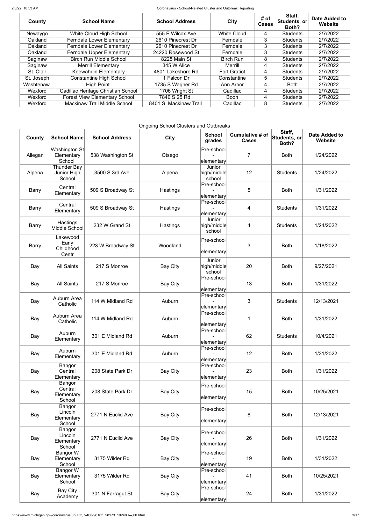| County     | <b>School Name</b>                   | <b>School Address</b>              | <b>City</b>         | # of<br><b>Cases</b> | Staff,<br>Students, or<br>Both? | Date Added to<br>Website |
|------------|--------------------------------------|------------------------------------|---------------------|----------------------|---------------------------------|--------------------------|
| Newaygo    | White Cloud High School              | 555 E Wilcox Ave                   | <b>White Cloud</b>  | 4                    | <b>Students</b>                 | 2/7/2022                 |
| Oakland    | <b>Ferndale Lower Elementary</b>     | 2610 Pinecrest Dr                  | Ferndale            | 3                    | <b>Students</b>                 | 2/7/2022                 |
| Oakland    | <b>Ferndale Lower Elementary</b>     | 3<br>2610 Pinecrest Dr<br>Ferndale |                     |                      | <b>Students</b>                 | 2/7/2022                 |
| Oakland    | <b>Ferndale Upper Elementary</b>     | 24220 Rosewood St                  | Ferndale            | 3                    | <b>Students</b>                 | 2/7/2022                 |
| Saginaw    | <b>Birch Run Middle School</b>       | 8225 Main St                       | <b>Birch Run</b>    | 8                    | <b>Students</b>                 | 2/7/2022                 |
| Saginaw    | <b>Merrill Elementary</b>            | 345 W Alice                        | Merrill             | 4                    | <b>Students</b>                 | 2/7/2022                 |
| St. Clair  | <b>Keewahdin Elementary</b>          | 4801 Lakeshore Rd                  | <b>Fort Gratiot</b> | 4                    | <b>Students</b>                 | 2/7/2022                 |
| St. Joseph | <b>Constantine High School</b>       | 1 Falcon Dr                        | Constantine         | 5                    | <b>Students</b>                 | 2/7/2022                 |
| Washtenaw  | <b>High Point</b>                    | 1735 S Wagner Rd                   | Ann Arbor           | 4                    | <b>Both</b>                     | 2/7/2022                 |
| Wexford    | Cadillac Heritage Christian School   | 1706 Wright St                     | Cadillac            | 4                    | <b>Students</b>                 | 2/7/2022                 |
| Wexford    | <b>Forest View Elementary School</b> | 7840 S 25 Rd.                      | <b>Boon</b>         | 4                    | <b>Students</b>                 | 2/7/2022                 |
| Wexford    | <b>Mackinaw Trail Middle School</b>  | 8401 S. Mackinaw Trail             | Cadillac            | 8                    | <b>Students</b>                 | 2/7/2022                 |

Ongoing School Clusters and Outbreaks

| County       | <b>School Name</b>                           | <b>School Address</b> | <b>City</b>     | <b>School</b><br>grades                                 | <b>Cumulative # of</b><br><b>Cases</b> | Staff,<br>Students, or<br>Both? | <b>Date Added to</b><br><b>Website</b> |
|--------------|----------------------------------------------|-----------------------|-----------------|---------------------------------------------------------|----------------------------------------|---------------------------------|----------------------------------------|
| Allegan      | <b>Washington St</b><br>Elementary<br>School | 538 Washington St     | Otsego          | Pre-school<br>elementary                                | $\overline{7}$                         | <b>Both</b>                     | 1/24/2022                              |
| Alpena       | Thunder Bay<br>Junior High<br>School         | 3500 S 3rd Ave        | Alpena          | Junior<br>$\left  \text{high/middle} \right $<br>school | 12                                     | <b>Students</b>                 | 1/24/2022                              |
| <b>Barry</b> | Central<br>Elementary                        | 509 S Broadway St     | Hastings        | Pre-school<br>elementary                                | 5                                      | <b>Both</b>                     | 1/31/2022                              |
| <b>Barry</b> | Central<br>Elementary                        | 509 S Broadway St     | Hastings        | Pre-school<br>elementary                                | 4                                      | <b>Students</b>                 | 1/31/2022                              |
| <b>Barry</b> | Hastings<br>Middle School                    | 232 W Grand St        | Hastings        | Junior<br>$\left  \text{high/middle} \right $<br>school | 4                                      | <b>Students</b>                 | 1/24/2022                              |
| <b>Barry</b> | Lakewood<br>Early<br>Childhood<br>Centr      | 223 W Broadway St     | Woodland        | Pre-school<br>elementary                                | 3                                      | <b>Both</b>                     | 1/18/2022                              |
| Bay          | <b>All Saints</b>                            | 217 S Monroe          | <b>Bay City</b> | Junior<br>$ $ high/middle $ $<br>school                 | 20                                     | <b>Both</b>                     | 9/27/2021                              |
| Bay          | <b>All Saints</b>                            | 217 S Monroe          | <b>Bay City</b> | Pre-school<br>elementary                                | 13                                     | <b>Both</b>                     | 1/31/2022                              |
| Bay          | Auburn Area<br>Catholic                      | 114 W Midland Rd      | Auburn          | Pre-school<br>elementary                                | 3                                      | <b>Students</b>                 | 12/13/2021                             |
| Bay          | Auburn Area<br>Catholic                      | 114 W Midland Rd      | Auburn          | Pre-school<br>elementary                                |                                        | <b>Both</b>                     | 1/31/2022                              |
| Bay          | Auburn<br>Elementary                         | 301 E Midland Rd      | Auburn          | Pre-school<br>elementary                                | 62                                     | <b>Students</b>                 | 10/4/2021                              |
| Bay          | Auburn<br>Elementary                         | 301 E Midland Rd      | Auburn          | Pre-school<br>elementary                                | 12                                     | <b>Both</b>                     | 1/31/2022                              |
| Bay          | Bangor<br>Central<br>Elementary              | 208 State Park Dr     | <b>Bay City</b> | Pre-school<br>elementary                                | 23                                     | <b>Both</b>                     | 1/31/2022                              |
| Bay          | Bangor<br>Central<br>Elementary<br>School    | 208 State Park Dr     | <b>Bay City</b> | Pre-school<br>elementary                                | 15                                     | <b>Both</b>                     | 10/25/2021                             |
| Bay          | Bangor<br>Lincoln<br>Elementary<br>School    | 2771 N Euclid Ave     | <b>Bay City</b> | Pre-school<br>elementary                                | 8                                      | <b>Both</b>                     | 12/13/2021                             |
| Bay          | Bangor<br>Lincoln<br>Elementary<br>School    | 2771 N Euclid Ave     | <b>Bay City</b> | Pre-school<br>elementary                                | 26                                     | <b>Both</b>                     | 1/31/2022                              |
| Bay          | Bangor W<br>Elementary<br>School             | 3175 Wilder Rd        | <b>Bay City</b> | Pre-school<br>elementary                                | 19                                     | <b>Both</b>                     | 1/31/2022                              |
| Bay          | Bangor W<br>Elementary<br>School             | 3175 Wilder Rd        | <b>Bay City</b> | Pre-school<br>elementary                                | 41                                     | <b>Both</b>                     | 10/25/2021                             |
| Bay          | Bay City<br>Academy                          | 301 N Farragut St     | <b>Bay City</b> | Pre-school<br>elementary                                | 24                                     | <b>Both</b>                     | 1/31/2022                              |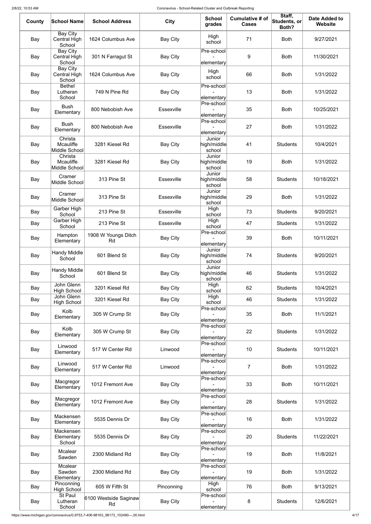https://www.michigan.gov/coronavirus/0,9753,7-406-98163\_98173\_102480---,00.html 4/17

| County | <b>School Name</b>                               | <b>School Address</b>       | <b>City</b>       | <b>School</b><br>grades         | <b>Cumulative # of</b><br><b>Cases</b> | Staff,<br>Students, or<br>Both? | <b>Date Added to</b><br><b>Website</b> |
|--------|--------------------------------------------------|-----------------------------|-------------------|---------------------------------|----------------------------------------|---------------------------------|----------------------------------------|
| Bay    | <b>Bay City</b><br>Central High<br>School        | 1624 Columbus Ave           | <b>Bay City</b>   | High<br>school                  | 71                                     | <b>Both</b>                     | 9/27/2021                              |
| Bay    | <b>Bay City</b><br><b>Central High</b><br>School | 301 N Farragut St           | <b>Bay City</b>   | Pre-school<br>elementary        | 9                                      | <b>Both</b>                     | 11/30/2021                             |
| Bay    | Bay City<br>Central High<br>School               | 1624 Columbus Ave           | <b>Bay City</b>   | High<br>school                  | 66                                     | <b>Both</b>                     | 1/31/2022                              |
| Bay    | <b>Bethel</b><br>Lutheran<br>School              | 749 N Pine Rd               | Bay City          | Pre-school<br>elementary        | 13                                     | <b>Both</b>                     | 1/31/2022                              |
| Bay    | <b>Bush</b><br>Elementary                        | 800 Nebobish Ave            | Essexville        | Pre-school<br>elementary        | 35                                     | <b>Both</b>                     | 10/25/2021                             |
| Bay    | <b>Bush</b><br>Elementary                        | 800 Nebobish Ave            | <b>Essexville</b> | Pre-school<br>elementary        | 27                                     | <b>Both</b>                     | 1/31/2022                              |
| Bay    | Christa<br>Mcauliffe<br>Middle School            | 3281 Kiesel Rd              | <b>Bay City</b>   | Junior<br>high/middle<br>school | 41                                     | <b>Students</b>                 | 10/4/2021                              |
| Bay    | Christa<br><b>Mcauliffe</b><br>Middle School     | 3281 Kiesel Rd              | <b>Bay City</b>   | Junior<br>high/middle<br>school | 19                                     | <b>Both</b>                     | 1/31/2022                              |
| Bay    | Cramer<br>Middle School                          | 313 Pine St                 | <b>Essexville</b> | Junior<br>high/middle<br>school | 58                                     | <b>Students</b>                 | 10/18/2021                             |
| Bay    | Cramer<br>Middle School                          | 313 Pine St                 | <b>Essexville</b> | Junior<br>high/middle<br>school | 29                                     | <b>Both</b>                     | 1/31/2022                              |
| Bay    | Garber High<br>School                            | 213 Pine St                 | Essexville        | High<br>school                  | 73                                     | <b>Students</b>                 | 9/20/2021                              |
| Bay    | Garber High<br>School                            | 213 Pine St                 | <b>Essexville</b> | High<br>school                  | 47                                     | <b>Students</b>                 | 1/31/2022                              |
| Bay    | Hampton<br>Elementary                            | 1908 W Youngs Ditch<br>Rd   | <b>Bay City</b>   | Pre-school<br>elementary        | 39                                     | <b>Both</b>                     | 10/11/2021                             |
| Bay    | <b>Handy Middle</b><br>School                    | 601 Blend St                | <b>Bay City</b>   | Junior<br>high/middle<br>school | 74                                     | <b>Students</b>                 | 9/20/2021                              |
| Bay    | <b>Handy Middle</b><br>School                    | 601 Blend St                | <b>Bay City</b>   | Junior<br>high/middle<br>school | 46                                     | <b>Students</b>                 | 1/31/2022                              |
| Bay    | John Glenn<br><b>High School</b>                 | 3201 Kiesel Rd              | <b>Bay City</b>   | High<br>school                  | 62                                     | <b>Students</b>                 | 10/4/2021                              |
| Bay    | John Glenn<br><b>High School</b>                 | 3201 Kiesel Rd              | <b>Bay City</b>   | High<br>school<br>Pre-school    | 46                                     | <b>Students</b>                 | 1/31/2022                              |
| Bay    | Kolb<br>Elementary                               | 305 W Crump St              | Bay City          | elementary<br>Pre-school        | 35                                     | <b>Both</b>                     | 11/1/2021                              |
| Bay    | Kolb<br>Elementary                               | 305 W Crump St              | <b>Bay City</b>   | elementary<br>Pre-school        | 22                                     | <b>Students</b>                 | 1/31/2022                              |
| Bay    | Linwood<br>Elementary                            | 517 W Center Rd             | Linwood           | elementary<br>Pre-school        | 10                                     | <b>Students</b>                 | 10/11/2021                             |
| Bay    | Linwood<br>Elementary                            | 517 W Center Rd             | Linwood           | elementary<br>Pre-school        | $\overline{7}$                         | <b>Both</b>                     | 1/31/2022                              |
| Bay    | Macgregor<br>Elementary                          | 1012 Fremont Ave            | <b>Bay City</b>   | elementary                      | 33                                     | <b>Both</b>                     | 10/11/2021                             |
| Bay    | Macgregor<br>Elementary                          | 1012 Fremont Ave            | <b>Bay City</b>   | Pre-school<br>elementary        | 28                                     | <b>Students</b>                 | 1/31/2022                              |
| Bay    | Mackensen<br>Elementary                          | 5535 Dennis Dr              | Bay City          | Pre-school<br>elementary        | 16                                     | <b>Both</b>                     | 1/31/2022                              |
| Bay    | Mackensen<br>Elementary<br>School                | 5535 Dennis Dr              | <b>Bay City</b>   | Pre-school<br>elementary        | 20                                     | <b>Students</b>                 | 11/22/2021                             |
| Bay    | <b>Mcalear</b><br>Sawden                         | 2300 Midland Rd             | <b>Bay City</b>   | Pre-school<br>elementary        | 19                                     | <b>Both</b>                     | 11/8/2021                              |
| Bay    | <b>Mcalear</b><br>Sawden<br>Elementary           | 2300 Midland Rd             | <b>Bay City</b>   | Pre-school<br>elementary        | 19                                     | <b>Both</b>                     | 1/31/2022                              |
| Bay    | Pinconning<br><b>High School</b>                 | 605 W Fifth St              | Pinconning        | High<br>school                  | 76                                     | <b>Both</b>                     | 9/13/2021                              |
| Bay    | St Paul<br>Lutheran<br>School                    | 6100 Westside Saginaw<br>Rd | <b>Bay City</b>   | Pre-school<br>elementary        | 8                                      | <b>Students</b>                 | 12/6/2021                              |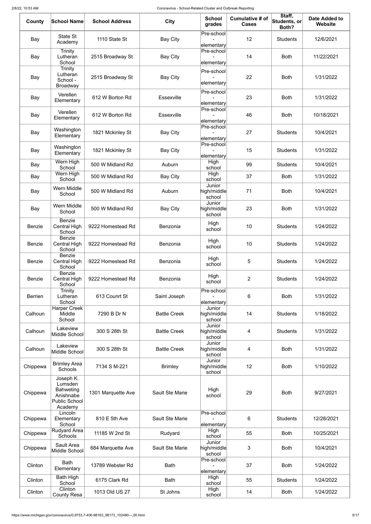| County         | <b>School Name</b>                                                                       | <b>School Address</b> | <b>City</b>            | <b>School</b><br>grades         | <b>Cumulative # of</b><br><b>Cases</b> | Staff,<br>Students, or<br>Both? | <b>Date Added to</b><br><b>Website</b> |
|----------------|------------------------------------------------------------------------------------------|-----------------------|------------------------|---------------------------------|----------------------------------------|---------------------------------|----------------------------------------|
| Bay            | State St<br>Academy                                                                      | 1110 State St         | <b>Bay City</b>        | Pre-school<br>elementary        | 12                                     | <b>Students</b>                 | 12/6/2021                              |
| Bay            | Trinity<br>Lutheran<br>School                                                            | 2515 Broadway St      | <b>Bay City</b>        | Pre-school<br>elementary        | 14                                     | <b>Both</b>                     | 11/22/2021                             |
| Bay            | Trinity<br>Lutheran<br>School -<br><b>Broadway</b>                                       | 2515 Broadway St      | <b>Bay City</b>        | Pre-school<br>elementary        | 22                                     | <b>Both</b>                     | 1/31/2022                              |
| Bay            | Verellen<br>Elementary                                                                   | 612 W Borton Rd       | <b>Essexville</b>      | Pre-school<br>elementary        | 23                                     | <b>Both</b>                     | 1/31/2022                              |
| Bay            | Verellen<br>Elementary                                                                   | 612 W Borton Rd       | <b>Essexville</b>      | Pre-school<br>elementary        | 46                                     | <b>Both</b>                     | 10/18/2021                             |
| Bay            | Washington<br>Elementary                                                                 | 1821 Mckinley St      | <b>Bay City</b>        | Pre-school<br>elementary        | 27                                     | <b>Students</b>                 | 10/4/2021                              |
| Bay            | Washington<br>Elementary                                                                 | 1821 Mckinley St      | Bay City               | Pre-school<br>elementary        | 15                                     | <b>Students</b>                 | 1/31/2022                              |
| Bay            | Wern High<br>School                                                                      | 500 W Midland Rd      | Auburn                 | High<br>school                  | 99                                     | <b>Students</b>                 | 10/4/2021                              |
| Bay            | Wern High<br>School                                                                      | 500 W Midland Rd      | <b>Bay City</b>        | High<br>school                  | 37                                     | <b>Both</b>                     | 1/31/2022                              |
| Bay            | Wern Middle<br>School                                                                    | 500 W Midland Rd      | Auburn                 | Junior<br>high/middle<br>school | 71                                     | <b>Both</b>                     | 10/4/2021                              |
| Bay            | Wern Middle<br>School                                                                    | 500 W Midland Rd      | <b>Bay City</b>        | Junior<br>high/middle<br>school | 23                                     | <b>Both</b>                     | 1/31/2022                              |
| <b>Benzie</b>  | <b>Benzie</b><br><b>Central High</b><br>School                                           | 9222 Homestead Rd     | Benzonia               | High<br>school                  | 10                                     | <b>Students</b>                 | 1/24/2022                              |
| Benzie         | <b>Benzie</b><br>Central High<br>School                                                  | 9222 Homestead Rd     | Benzonia               | High<br>school                  | 10                                     | <b>Students</b>                 | 1/24/2022                              |
| <b>Benzie</b>  | <b>Benzie</b><br><b>Central High</b><br>School                                           | 9222 Homestead Rd     | Benzonia               | High<br>school                  | 5                                      | <b>Students</b>                 | 1/24/2022                              |
| Benzie         | <b>Benzie</b><br>Central High<br>School                                                  | 9222 Homestead Rd     | Benzonia               | High<br>school                  | $\overline{2}$                         | <b>Students</b>                 | 1/24/2022                              |
| <b>Berrien</b> | Trinity<br>Lutheran<br>School                                                            | 613 Counrt St         | Saint Joseph           | Pre-school<br>elementary        | 6                                      | <b>Both</b>                     | 1/31/2022                              |
| Calhoun        | <b>Harper Creek</b><br>Middle<br>School                                                  | 7290 B Dr N           | <b>Battle Creek</b>    | Junior<br>high/middle<br>school | 14                                     | <b>Students</b>                 | 1/18/2022                              |
| Calhoun        | Lakeview<br>Middle School                                                                | 300 S 28th St         | <b>Battle Creek</b>    | Junior<br>high/middle<br>school | 4                                      | <b>Students</b>                 | 1/31/2022                              |
| Calhoun        | Lakeview<br>Middle School                                                                | 300 S 28th St         | <b>Battle Creek</b>    | Junior<br>high/middle<br>school | 4                                      | <b>Both</b>                     | 1/31/2022                              |
| Chippewa       | <b>Brimley Area</b><br><b>Schools</b>                                                    | 7134 S M-221          | <b>Brimley</b>         | Junior<br>high/middle<br>school | 12                                     | <b>Both</b>                     | 1/10/2022                              |
| Chippewa       | Joseph K.<br>Lumsden<br><b>Bahweting</b><br>Anishnabe<br><b>Public School</b><br>Academy | 1301 Marquette Ave    | <b>Sault Ste Marie</b> | High<br>school                  | 29                                     | <b>Both</b>                     | 9/27/2021                              |
| Chippewa       | Lincoln<br>Elementary<br>School                                                          | 810 E 5th Ave         | <b>Sault Ste Marie</b> | Pre-school<br>elementary        | 6                                      | <b>Students</b>                 | 12/28/2021                             |
| Chippewa       | Rudyard Area<br>Schools                                                                  | 11185 W 2nd St        | Rudyard                | High<br>school                  | 55                                     | <b>Both</b>                     | 10/25/2021                             |
| Chippewa       | Sault Area<br>Middle School                                                              | 684 Marquette Ave     | <b>Sault Ste Marie</b> | Junior<br>high/middle<br>school | 3                                      | <b>Both</b>                     | 10/4/2021                              |
| Clinton        | <b>Bath</b><br>Elementary                                                                | 13789 Webster Rd      | <b>Bath</b>            | Pre-school<br>elementary        | 37                                     | <b>Both</b>                     | 1/24/2022                              |
| Clinton        | Bath High<br>School                                                                      | 6175 Clark Rd         | <b>Bath</b>            | High<br>school                  | 55                                     | <b>Students</b>                 | 1/24/2022                              |
| Clinton        | Clinton<br><b>County Resa</b>                                                            | 1013 Old US 27        | St Johns               | High<br>school                  | 14                                     | <b>Both</b>                     | 1/24/2022                              |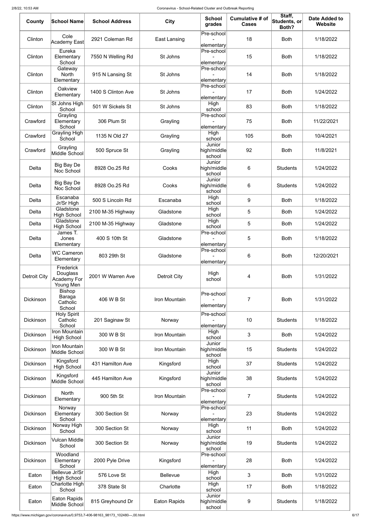| County              | <b>School Name</b>                                | <b>School Address</b> | <b>City</b>         | <b>School</b><br>grades         | <b>Cumulative # of</b><br><b>Cases</b> | Staff,<br>Students, or<br>Both? | <b>Date Added to</b><br><b>Website</b> |
|---------------------|---------------------------------------------------|-----------------------|---------------------|---------------------------------|----------------------------------------|---------------------------------|----------------------------------------|
| Clinton             | Cole<br>Academy East                              | 2921 Coleman Rd       | East Lansing        | Pre-school<br>elementary        | 18                                     | <b>Both</b>                     | 1/18/2022                              |
| Clinton             | Eureka<br>Elementary<br>School                    | 7550 N Welling Rd     | St Johns            | Pre-school<br>elementary        | 15                                     | <b>Both</b>                     | 1/18/2022                              |
| Clinton             | Gateway<br><b>North</b><br>Elementary             | 915 N Lansing St      | St Johns            | Pre-school<br>elementary        | 14                                     | <b>Both</b>                     | 1/18/2022                              |
| Clinton             | Oakview<br>Elementary                             | 1400 S Clinton Ave    | St Johns            | Pre-school<br>elementary        | 17                                     | <b>Both</b>                     | 1/24/2022                              |
| Clinton             | St Johns High<br>School                           | 501 W Sickels St      | St Johns            | High<br>school                  | 83                                     | <b>Both</b>                     | 1/18/2022                              |
| Crawford            | Grayling<br>Elementary<br>School                  | 306 Plum St           | Grayling            | Pre-school<br>elementary        | 75                                     | <b>Both</b>                     | 11/22/2021                             |
| Crawford            | Grayling High<br>School                           | 1135 N Old 27         | Grayling            | High<br>school                  | 105                                    | <b>Both</b>                     | 10/4/2021                              |
| Crawford            | Grayling<br>Middle School                         | 500 Spruce St         | Grayling            | Junior<br>high/middle<br>school | 92                                     | <b>Both</b>                     | 11/8/2021                              |
| Delta               | <b>Big Bay De</b><br>Noc School                   | 8928 Oo.25 Rd         | Cooks               | Junior<br>high/middle<br>school | 6                                      | <b>Students</b>                 | 1/24/2022                              |
| Delta               | Big Bay De<br>Noc School                          | 8928 Oo.25 Rd         | Cooks               | Junior<br>high/middle<br>school | 6                                      | <b>Students</b>                 | 1/24/2022                              |
| Delta               | Escanaba<br>Jr/Sr High                            | 500 S Lincoln Rd      | Escanaba            | High<br>school                  | 9                                      | <b>Both</b>                     | 1/18/2022                              |
| Delta               | Gladstone<br><b>High School</b>                   | 2100 M-35 Highway     | Gladstone           | High<br>school                  | 5                                      | <b>Both</b>                     | 1/24/2022                              |
| Delta               | Gladstone<br><b>High School</b>                   | 2100 M-35 Highway     | Gladstone           | High<br>school                  | 5                                      | <b>Both</b>                     | 1/24/2022                              |
| Delta               | James T.<br>Jones<br>Elementary                   | 400 S 10th St         | Gladstone           | Pre-school<br>elementary        | 5                                      | <b>Both</b>                     | 1/18/2022                              |
| Delta               | <b>WC Cameron</b><br>Elementary                   | 803 29th St           | Gladstone           | Pre-school<br>elementary        | 6                                      | <b>Both</b>                     | 12/20/2021                             |
| <b>Detroit City</b> | Frederick<br>Douglass<br>Academy For<br>Young Men | 2001 W Warren Ave     | <b>Detroit City</b> | High<br>school                  | 4                                      | <b>Both</b>                     | 1/31/2022                              |
| <b>Dickinson</b>    | <b>Bishop</b><br>Baraga<br>Catholic<br>School     | 406 W B St            | Iron Mountain       | Pre-school<br>elementary        | 7                                      | <b>Both</b>                     | 1/31/2022                              |
| <b>Dickinson</b>    | <b>Holy Spirit</b><br>Catholic<br>School          | 201 Saginaw St        | Norway              | Pre-school<br>elementary        | 10                                     | <b>Students</b>                 | 1/18/2022                              |
| <b>Dickinson</b>    | Iron Mountain<br><b>High School</b>               | 300 W B St            | Iron Mountain       | High<br>school                  | 3                                      | <b>Both</b>                     | 1/24/2022                              |
| <b>Dickinson</b>    | Iron Mountain<br>Middle School                    | 300 W B St            | Iron Mountain       | Junior<br>high/middle<br>school | 15                                     | <b>Students</b>                 | 1/24/2022                              |
| Dickinson           | Kingsford<br><b>High School</b>                   | 431 Hamilton Ave      | Kingsford           | High<br>school                  | 37                                     | <b>Students</b>                 | 1/24/2022                              |
| <b>Dickinson</b>    | Kingsford<br>Middle School                        | 445 Hamilton Ave      | Kingsford           | Junior<br>high/middle<br>school | 38                                     | <b>Students</b>                 | 1/24/2022                              |
| <b>Dickinson</b>    | <b>North</b><br>Elementary                        | 900 5th St            | Iron Mountain       | Pre-school<br>elementary        | $\overline{7}$                         | <b>Students</b>                 | 1/24/2022                              |
| <b>Dickinson</b>    | Norway<br>Elementary<br>School                    | 300 Section St        | Norway              | $P$ re-school<br>elementary     | 23                                     | <b>Students</b>                 | 1/24/2022                              |
| <b>Dickinson</b>    | Norway High<br>School                             | 300 Section St        | Norway              | High<br>school                  | 11                                     | <b>Both</b>                     | 1/24/2022                              |
| <b>Dickinson</b>    | Vulcan Middle<br>School                           | 300 Section St        | Norway              | Junior<br>high/middle<br>school | 19                                     | <b>Students</b>                 | 1/24/2022                              |
| <b>Dickinson</b>    | Woodland<br>Elementary<br>School                  | 2000 Pyle Drive       | Kingsford           | Pre-school<br>elementary        | 28                                     | <b>Both</b>                     | 1/24/2022                              |
| Eaton               | Bellevue Jr/Sr<br><b>High School</b>              | 576 Love St           | <b>Bellevue</b>     | High<br>school                  | 3                                      | <b>Both</b>                     | 1/31/2022                              |
| Eaton               | Charlotte High<br>School                          | 378 State St          | Charlotte           | High<br>school                  | 17                                     | <b>Both</b>                     | 1/18/2022                              |
| Eaton               | <b>Eaton Rapids</b><br>Middle School              | 815 Greyhound Dr      | <b>Eaton Rapids</b> | Junior<br>high/middle<br>school | 9                                      | <b>Students</b>                 | 1/18/2022                              |

https://www.michigan.gov/coronavirus/0,9753,7-406-98163\_98173\_102480---,00.html 6/17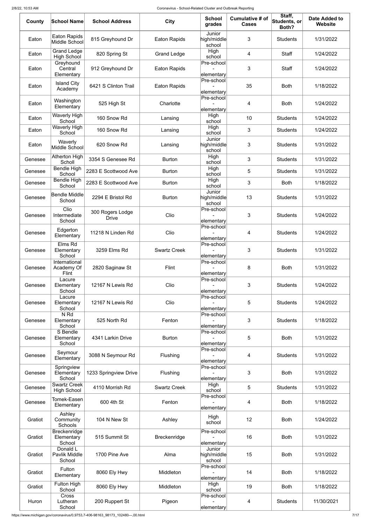| County  | <b>School Name</b>                          | <b>School Address</b>            | <b>City</b>         | <b>School</b><br>grades         | Cumulative # of<br><b>Cases</b> | Staff,<br>$ \mathsf{Students},\mathsf{or} $<br>Both? | <b>Date Added to</b><br><b>Website</b> |
|---------|---------------------------------------------|----------------------------------|---------------------|---------------------------------|---------------------------------|------------------------------------------------------|----------------------------------------|
| Eaton   | <b>Eaton Rapids</b><br>Middle School        | 815 Greyhound Dr                 | <b>Eaton Rapids</b> | Junior<br>high/middle<br>school | 3                               | <b>Students</b>                                      | 1/31/2022                              |
| Eaton   | <b>Grand Ledge</b><br><b>High School</b>    | 820 Spring St                    | <b>Grand Ledge</b>  | High<br>school                  | 4                               | <b>Staff</b>                                         | 1/24/2022                              |
| Eaton   | Greyhound<br>Central<br>Elementary          | 912 Greyhound Dr                 | <b>Eaton Rapids</b> | Pre-school<br>elementary        | 3                               | <b>Staff</b>                                         | 1/24/2022                              |
| Eaton   | <b>Island City</b><br>Academy               | 6421 S Clinton Trail             | <b>Eaton Rapids</b> | Pre-school<br>elementary        | 35                              | <b>Both</b>                                          | 1/18/2022                              |
| Eaton   | Washington<br>Elementary                    | 525 High St                      | Charlotte           | Pre-school<br>elementary        | 4                               | <b>Both</b>                                          | 1/24/2022                              |
| Eaton   | <b>Waverly High</b><br>School               | 160 Snow Rd                      | Lansing             | High<br>school                  | 10                              | <b>Students</b>                                      | 1/24/2022                              |
| Eaton   | <b>Waverly High</b><br>School               | 160 Snow Rd                      | Lansing             | High<br>school                  | 3                               | <b>Students</b>                                      | 1/24/2022                              |
| Eaton   | Waverly<br>Middle School                    | 620 Snow Rd                      | Lansing             | Junior<br>high/middle<br>school | 3                               | <b>Students</b>                                      | 1/31/2022                              |
| Genesee | Atherton High<br>Scholl                     | 3354 S Genesee Rd                | <b>Burton</b>       | High<br>school                  | 3                               | <b>Students</b>                                      | 1/31/2022                              |
| Genesee | <b>Bendle High</b><br>School                | 2283 E Scottwood Ave             | <b>Burton</b>       | High<br>school                  | 5                               | <b>Students</b>                                      | 1/31/2022                              |
| Genesee | Bendle High<br>School                       | 2283 E Scottwood Ave             | <b>Burton</b>       | High<br>school                  | 3                               | <b>Both</b>                                          | 1/18/2022                              |
| Genesee | <b>Bendle Middle</b><br>School              | 2294 E Bristol Rd                | <b>Burton</b>       | Junior<br>high/middle<br>school | 13                              | <b>Students</b>                                      | 1/31/2022                              |
| Genesee | $C$ lio<br>Intermediate<br>School           | 300 Rogers Lodge<br><b>Drive</b> | Clio                | Pre-school<br>elementary        | 3                               | <b>Students</b>                                      | 1/24/2022                              |
| Genesee | Edgerton<br>Elementary                      | 11218 N Linden Rd                | Clio                | Pre-school<br>elementary        | 4                               | <b>Students</b>                                      | 1/24/2022                              |
| Genesee | Elms Rd<br>Elementary<br>School             | 3259 Elms Rd                     | <b>Swartz Creek</b> | Pre-school<br>elementary        | 3                               | <b>Students</b>                                      | 1/31/2022                              |
| Genesee | International<br>Academy Of<br><b>Flint</b> | 2820 Saginaw St                  | <b>Flint</b>        | Pre-school<br>elementary        | 8                               | <b>Both</b>                                          | 1/31/2022                              |
| Genesee | Lacure<br>Elementary<br>School              | 12167 N Lewis Rd                 | Clio                | Pre-school<br>elementary        | 3                               | <b>Students</b>                                      | 1/24/2022                              |
| Genesee | Lacure<br>Elementary<br>School              | 12167 N Lewis Rd                 | Clio                | Pre-school<br>elementary        | 5                               | <b>Students</b>                                      | 1/24/2022                              |
| Genesee | N <sub>Rd</sub><br>Elementary<br>School     | 525 North Rd                     | Fenton              | Pre-school<br>elementary        | 3                               | <b>Students</b>                                      | 1/18/2022                              |
| Genesee | S Bendle<br>Elementary<br>School            | 4341 Larkin Drive                | <b>Burton</b>       | Pre-school<br>elementary        | 5                               | <b>Both</b>                                          | 1/31/2022                              |
| Genesee | Seymour<br>Elementary                       | 3088 N Seymour Rd                | Flushing            | Pre-school<br>elementary        | $\overline{4}$                  | <b>Students</b>                                      | 1/31/2022                              |
| Genesee | Springview<br>Elementary<br>School          | 1233 Springview Drive            | Flushing            | Pre-school<br>elementary        | 3                               | <b>Both</b>                                          | 1/31/2022                              |
| Genesee | <b>Swartz Creek</b><br><b>High School</b>   | 4110 Morrish Rd                  | <b>Swartz Creek</b> | High<br>school                  | 5                               | <b>Students</b>                                      | 1/31/2022                              |
| Genesee | Tomek-Easen<br>Elementary                   | 600 4th St                       | Fenton              | Pre-school<br>∣elementary∣      | 4                               | <b>Both</b>                                          | 1/18/2022                              |
| Gratiot | Ashley<br>Community<br>Schools              | 104 N New St                     | Ashley              | High<br>school                  | 12                              | <b>Both</b>                                          | 1/24/2022                              |
| Gratiot | Breckenridge<br>Elementary<br>School        | 515 Summit St                    | <b>Breckenridge</b> | Pre-school<br>elementary        | 16                              | <b>Both</b>                                          | 1/31/2022                              |
| Gratiot | Donald L<br>Pavlik Middle<br>School         | 1700 Pine Ave                    | Alma                | Junior<br>high/middle<br>school | 15                              | <b>Both</b>                                          | 1/31/2022                              |
| Gratiot | Fulton<br>Elementary                        | <b>8060 Ely Hwy</b>              | Middleton           | Pre-school<br>elementary        | 14                              | <b>Both</b>                                          | 1/18/2022                              |
| Gratiot | <b>Fulton High</b><br>School                | 8060 Ely Hwy                     | Middleton           | High<br>school                  | 19                              | <b>Both</b>                                          | 1/18/2022                              |
| Huron   | <b>Cross</b><br>Lutheran<br>School          | 200 Ruppert St                   | Pigeon              | Pre-school<br>elementary        | 4                               | <b>Students</b>                                      | 11/30/2021                             |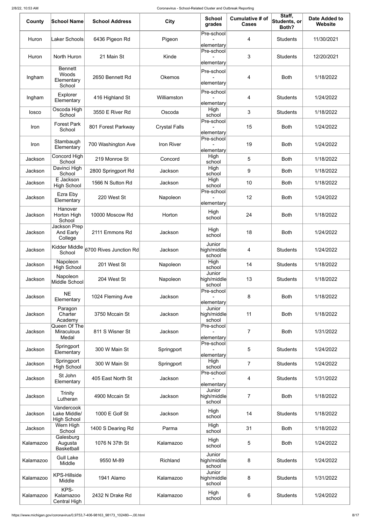| County    | <b>School Name</b>                               | <b>School Address</b>  | <b>City</b>          | <b>School</b><br>grades         | Cumulative # of<br><b>Cases</b> | Staff,<br>Students, or<br>Both? | Date Added to<br>Website |
|-----------|--------------------------------------------------|------------------------|----------------------|---------------------------------|---------------------------------|---------------------------------|--------------------------|
| Huron     | <b>Laker Schools</b>                             | 6436 Pigeon Rd         | Pigeon               | Pre-school<br>elementary        | 4                               | <b>Students</b>                 | 11/30/2021               |
| Huron     | North Huron                                      | 21 Main St             | Kinde                | Pre-school<br>elementary        | 3                               | <b>Students</b>                 | 12/20/2021               |
| Ingham    | <b>Bennett</b><br>Woods<br>Elementary<br>School  | 2650 Bennett Rd        | <b>Okemos</b>        | Pre-school<br>elementary        | 4                               | <b>Both</b>                     | 1/18/2022                |
| Ingham    | Explorer<br>Elementary                           | 416 Highland St        | Williamston          | Pre-school<br>elementary        | 4                               | <b>Students</b>                 | 1/24/2022                |
| losco     | Oscoda High<br>School                            | 3550 E River Rd        | Oscoda               | High<br>school<br>Pre-school    | 3                               | <b>Students</b>                 | 1/18/2022                |
| Iron      | <b>Forest Park</b><br>School                     | 801 Forest Parkway     | <b>Crystal Falls</b> | elementary                      | 15                              | <b>Both</b>                     | 1/24/2022                |
| Iron      | Stambaugh<br>Elementary                          | 700 Washington Ave     | Iron River           | Pre-school<br>elementary        | 19                              | <b>Both</b>                     | 1/24/2022                |
| Jackson   | Concord High<br>School                           | 219 Monroe St          | Concord              | High<br>school                  | 5                               | <b>Both</b>                     | 1/18/2022                |
| Jackson   | Davinci High<br>School                           | 2800 Springport Rd     | Jackson              | High<br>school                  | 9                               | <b>Both</b>                     | 1/18/2022                |
| Jackson   | E Jackson                                        | 1566 N Sutton Rd       | Jackson              | High                            | 10                              | <b>Both</b>                     | 1/18/2022                |
|           | <b>High School</b><br>Ezra Eby                   |                        |                      | school<br>Pre-school            |                                 |                                 |                          |
| Jackson   | Elementary                                       | 220 West St            | Napoleon             | elementary                      | 12                              | <b>Both</b>                     | 1/24/2022                |
| Jackson   | Hanover<br>Horton High<br>School                 | 10000 Moscow Rd        | Horton               | High<br>school                  | 24                              | <b>Both</b>                     | 1/18/2022                |
| Jackson   | Jackson Prep<br>And Early<br>College             | 2111 Emmons Rd         | Jackson              | High<br>school                  | 18                              | <b>Both</b>                     | 1/24/2022                |
| Jackson   | Kidder Middle<br>School                          | 6700 Rives Junction Rd | Jackson              | Junior<br>high/middle<br>school | 4                               | <b>Students</b>                 | 1/24/2022                |
| Jackson   | Napoleon<br><b>High School</b>                   | 201 West St            | Napoleon             | High<br>school                  | 14                              | <b>Students</b>                 | 1/18/2022                |
| Jackson   | Napoleon<br>Middle School                        | 204 West St            | Napoleon             | Junior<br>high/middle<br>school | 13                              | <b>Students</b>                 | 1/18/2022                |
| Jackson   | <b>NE</b><br>Elementary                          | 1024 Fleming Ave       | Jackson              | Pre-school<br>elementary        | 8                               | <b>Both</b>                     | 1/18/2022                |
| Jackson   | Paragon<br>Charter<br>Academy                    | 3750 Mccain St         | Jackson              | Junior<br>high/middle<br>school | 11                              | <b>Both</b>                     | 1/18/2022                |
| Jackson   | Queen Of The<br><b>Miraculous</b><br>Medal       | 811 S Wisner St        | Jackson              | Pre-school<br>elementary        | $\overline{7}$                  | <b>Both</b>                     | 1/31/2022                |
| Jackson   | Springport<br>Elementary                         | 300 W Main St          | Springport           | Pre-school<br>elementary        | 5                               | <b>Students</b>                 | 1/24/2022                |
| Jackson   | Springport<br><b>High School</b>                 | 300 W Main St          | Springport           | High<br>school                  | $\overline{7}$                  | <b>Students</b>                 | 1/24/2022                |
| Jackson   | St John<br>Elementary                            | 405 East North St      | Jackson              | Pre-school<br>elementary        | 4                               | <b>Students</b>                 | 1/31/2022                |
| Jackson   | <b>Trinity</b><br>Lutheran                       | 4900 Mccain St         | Jackson              | Junior<br>high/middle<br>school | $\overline{7}$                  | <b>Both</b>                     | 1/18/2022                |
| Jackson   | Vandercook<br>Lake Middle/<br><b>High School</b> | 1000 E Golf St         | Jackson              | High<br>school                  | 14                              | <b>Students</b>                 | 1/18/2022                |
| Jackson   | Wern High<br>School                              | 1400 S Dearing Rd      | Parma                | High<br>school                  | 31                              | <b>Both</b>                     | 1/18/2022                |
| Kalamazoo | Galesburg<br>Augusta<br><b>Basketball</b>        | 1076 N 37th St         | Kalamazoo            | High<br>school                  | 5                               | <b>Both</b>                     | 1/24/2022                |
| Kalamazoo | <b>Gull Lake</b><br>Middle                       | 9550 M-89              | Richland             | Junior<br>high/middle<br>school | 8                               | <b>Students</b>                 | 1/24/2022                |
| Kalamazoo | <b>KPS-Hillside</b><br>Middle                    | 1941 Alamo             | Kalamazoo            | Junior<br>high/middle<br>school | 8                               | <b>Students</b>                 | 1/31/2022                |
| Kalamazoo | KPS-<br>Kalamazoo<br><b>Central High</b>         | 2432 N Drake Rd        | Kalamazoo            | High<br>school                  | 6                               | <b>Students</b>                 | 1/24/2022                |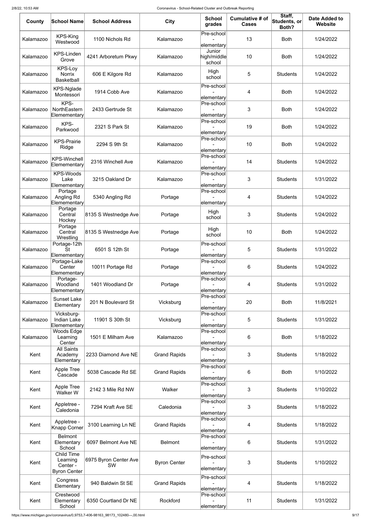| County    | <b>School Name</b>                                        | <b>School Address</b>       | <b>City</b>         | <b>School</b><br>grades         | <b>Cumulative # of</b><br><b>Cases</b> | Staff,<br>Students, or<br>Both? | <b>Date Added to</b><br>Website |
|-----------|-----------------------------------------------------------|-----------------------------|---------------------|---------------------------------|----------------------------------------|---------------------------------|---------------------------------|
| Kalamazoo | <b>KPS-King</b><br>Westwood                               | 1100 Nichols Rd             | Kalamazoo           | Pre-school<br>elementary        | 13                                     | <b>Both</b>                     | 1/24/2022                       |
| Kalamazoo | <b>KPS-Linden</b><br>Grove                                | 4241 Arboretum Pkwy         | Kalamazoo           | Junior<br>high/middle<br>school | 10                                     | <b>Both</b>                     | 1/24/2022                       |
| Kalamazoo | <b>KPS-Loy</b><br><b>Norrix</b><br><b>Basketball</b>      | 606 E Kilgore Rd            | Kalamazoo           | High<br>school                  | 5                                      | <b>Students</b>                 | 1/24/2022                       |
| Kalamazoo | <b>KPS-Nglade</b><br>Montessori                           | 1914 Cobb Ave               | Kalamazoo           | Pre-school<br>elementary        | 4                                      | <b>Both</b>                     | 1/24/2022                       |
| Kalamazoo | KPS-<br>NorthEastern<br>Elemementary                      | 2433 Gertrude St            | Kalamazoo           | Pre-school<br>elementary        | 3                                      | <b>Both</b>                     | 1/24/2022                       |
| Kalamazoo | KPS-<br>Parkwood                                          | 2321 S Park St              | Kalamazoo           | Pre-school<br>elementary        | 19                                     | <b>Both</b>                     | 1/24/2022                       |
| Kalamazoo | <b>KPS-Prairie</b><br>Ridge                               | 2294 S 9th St               | Kalamazoo           | Pre-school<br>elementary        | 10                                     | <b>Both</b>                     | 1/24/2022                       |
| Kalamazoo | <b>KPS-Winchell</b><br>Elemementary                       | 2316 Winchell Ave           | Kalamazoo           | Pre-school<br>elementary        | 14                                     | <b>Students</b>                 | 1/24/2022                       |
| Kalamazoo | <b>KPS-Woods</b><br>Lake<br>Elemementary                  | 3215 Oakland Dr             | Kalamazoo           | Pre-school<br>elementary        | 3                                      | <b>Students</b>                 | 1/31/2022                       |
| Kalamazoo | Portage<br>Angling Rd<br>Elemementary                     | 5340 Angling Rd             | Portage             | Pre-school<br>elementary        | 4                                      | <b>Students</b>                 | 1/24/2022                       |
| Kalamazoo | Portage<br>Central<br>Hockey                              | 8135 S Westnedge Ave        | Portage             | High<br>school                  | 3                                      | <b>Students</b>                 | 1/24/2022                       |
| Kalamazoo | Portage<br>Central<br>Wrestling                           | 8135 S Westnedge Ave        | Portage             | High<br>school                  | 10                                     | <b>Both</b>                     | 1/24/2022                       |
| Kalamazoo | Portage-12th<br><b>St</b><br>Elemementary                 | 6501 S 12th St              | Portage             | Pre-school<br>elementary        | 5                                      | <b>Students</b>                 | 1/31/2022                       |
| Kalamazoo | Portage-Lake<br>Center<br>Elemementary                    | 10011 Portage Rd            | Portage             | Pre-school<br>elementary        | 6                                      | <b>Students</b>                 | 1/24/2022                       |
| Kalamazoo | Portage-<br>Woodland<br>Elemementary                      | 1401 Woodland Dr            | Portage             | Pre-school<br>elementary        | 4                                      | <b>Students</b>                 | 1/31/2022                       |
| Kalamazoo | <b>Sunset Lake</b><br>Elementary                          | 201 N Boulevard St          | Vicksburg           | Pre-school<br>elementary        | 20                                     | <b>Both</b>                     | 11/8/2021                       |
| Kalamazoo | Vicksburg-<br><b>Indian Lake</b><br>Elemementary          | 11901 S 30th St             | Vicksburg           | Pre-school<br>elementary        | 5                                      | <b>Students</b>                 | 1/31/2022                       |
| Kalamazoo | Woods Edge<br>Learning<br>Center                          | 1501 E Milham Ave           | Kalamazoo           | Pre-school<br>elementary        | 6                                      | <b>Both</b>                     | 1/18/2022                       |
| Kent      | <b>All Saints</b><br>Academy<br>Elementary                | 2233 Diamond Ave NE         | <b>Grand Rapids</b> | Pre-school<br>elementary        | 3                                      | <b>Students</b>                 | 1/18/2022                       |
| Kent      | <b>Apple Tree</b><br>Cascade                              | 5038 Cascade Rd SE          | <b>Grand Rapids</b> | Pre-school<br>elementary        | 6                                      | <b>Both</b>                     | 1/10/2022                       |
| Kent      | Apple Tree<br>Walker W                                    | 2142 3 Mile Rd NW           | Walker              | Pre-school<br>elementary        | 3                                      | <b>Students</b>                 | 1/10/2022                       |
| Kent      | Appletree -<br>Caledonia                                  | 7294 Kraft Ave SE           | Caledonia           | Pre-school<br>elementary        | 3                                      | <b>Students</b>                 | 1/18/2022                       |
| Kent      | Appletree -<br><b>Knapp Corner</b>                        | 3100 Learning Ln NE         | <b>Grand Rapids</b> | Pre-school<br>elementary        | 4                                      | <b>Students</b>                 | 1/18/2022                       |
| Kent      | <b>Belmont</b><br>Elementary<br>School                    | 6097 Belmont Ave NE         | <b>Belmont</b>      | Pre-school<br>elementary        | 6                                      | <b>Students</b>                 | 1/31/2022                       |
| Kent      | Child Time<br>Learning<br>Center -<br><b>Byron Center</b> | 6975 Byron Center Ave<br>SW | <b>Byron Center</b> | Pre-school<br>elementary        | 3                                      | <b>Students</b>                 | 1/10/2022                       |
| Kent      | Congress<br>Elementary                                    | 940 Baldwin St SE           | <b>Grand Rapids</b> | Pre-school<br>elementary        | 4                                      | <b>Students</b>                 | 1/18/2022                       |
| Kent      | Crestwood<br>Elementary<br>School                         | 6350 Courtland Dr NE        | Rockford            | Pre-school<br>elementary        | 11                                     | <b>Students</b>                 | 1/31/2022                       |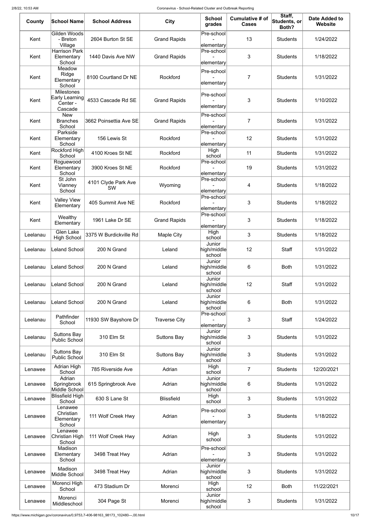| County   | <b>School Name</b>                                         | <b>School Address</b>            | <b>City</b>          | <b>School</b><br>grades         | <b>Cumulative # of</b><br><b>Cases</b> | Staff,<br>$ \mathsf{Students},\mathsf{or} $<br>Both? | <b>Date Added to</b><br><b>Website</b> |
|----------|------------------------------------------------------------|----------------------------------|----------------------|---------------------------------|----------------------------------------|------------------------------------------------------|----------------------------------------|
| Kent     | <b>Gilden Woods</b><br>- Breton<br>Village                 | 2604 Burton St SE                | <b>Grand Rapids</b>  | Pre-school<br>elementary        | 13                                     | <b>Students</b>                                      | 1/24/2022                              |
| Kent     | <b>Harrison Park</b><br>Elementary<br>School               | 1440 Davis Ave NW                | <b>Grand Rapids</b>  | Pre-school<br>elementary        | 3                                      | <b>Students</b>                                      | 1/18/2022                              |
| Kent     | Meadow<br>Ridge<br>Elementary<br>School                    | 8100 Courtland Dr NE             | Rockford             | Pre-school<br>elementary        | 7                                      | <b>Students</b>                                      | 1/31/2022                              |
| Kent     | <b>Milestones</b><br>Early Learning<br>Center -<br>Cascade | 4533 Cascade Rd SE               | <b>Grand Rapids</b>  | Pre-school<br>elementary        | 3                                      | <b>Students</b>                                      | 1/10/2022                              |
| Kent     | <b>New</b><br><b>Branches</b><br>School                    | 3662 Poinsettia Ave SE           | <b>Grand Rapids</b>  | Pre-school<br>elementary        | 7                                      | <b>Students</b>                                      | 1/31/2022                              |
| Kent     | Parkside<br>Elementary<br>School                           | 156 Lewis St                     | Rockford             | Pre-school<br>elementary        | 12                                     | <b>Students</b>                                      | 1/31/2022                              |
| Kent     | Rockford High<br>School                                    | 4100 Kroes St NE                 | Rockford             | High<br>school                  | 11                                     | <b>Students</b>                                      | 1/31/2022                              |
| Kent     | Roguewood<br>Elementary<br>School                          | 3900 Kroes St NE                 | Rockford             | Pre-school<br>elementary        | 19                                     | <b>Students</b>                                      | 1/31/2022                              |
| Kent     | St John<br>Vianney<br>School                               | 4101 Clyde Park Ave<br><b>SW</b> | Wyoming              | Pre-school<br>elementary        | 4                                      | <b>Students</b>                                      | 1/18/2022                              |
| Kent     | <b>Valley View</b><br>Elementary                           | 405 Summit Ave NE                | Rockford             | Pre-school<br>elementary        | 3                                      | <b>Students</b>                                      | 1/18/2022                              |
| Kent     | Wealthy<br>Elementary                                      | 1961 Lake Dr SE                  | <b>Grand Rapids</b>  | Pre-school<br>elementary        | 3                                      | <b>Students</b>                                      | 1/18/2022                              |
| Leelanau | <b>Glen Lake</b><br><b>High School</b>                     | 3375 W Burdickville Rd           | <b>Maple City</b>    | High<br>school                  | 3                                      | <b>Students</b>                                      | 1/18/2022                              |
| Leelanau | Leland School                                              | 200 N Grand                      | Leland               | Junior<br>high/middle<br>school | 12                                     | <b>Staff</b>                                         | 1/31/2022                              |
| Leelanau | Leland School                                              | 200 N Grand                      | Leland               | Junior<br>high/middle<br>school | 6                                      | <b>Both</b>                                          | 1/31/2022                              |
| Leelanau | <b>Leland School</b>                                       | 200 N Grand                      | Leland               | Junior<br>high/middle<br>school | 12                                     | <b>Staff</b>                                         | 1/31/2022                              |
| Leelanau | Leland School                                              | 200 N Grand                      | Leland               | Junior<br>high/middle<br>school | 6                                      | <b>Both</b>                                          | 1/31/2022                              |
| Leelanau | Pathfinder<br>School                                       | 11930 SW Bayshore Dr             | <b>Traverse City</b> | Pre-school<br>elementary        | 3                                      | Staff                                                | 1/24/2022                              |
| Leelanau | <b>Suttons Bay</b><br><b>Public School</b>                 | 310 Elm St                       | <b>Suttons Bay</b>   | Junior<br>high/middle<br>school | 3                                      | <b>Students</b>                                      | 1/31/2022                              |
| Leelanau | <b>Suttons Bay</b><br><b>Public School</b>                 | 310 Elm St                       | <b>Suttons Bay</b>   | Junior<br>high/middle<br>school | 3                                      | <b>Students</b>                                      | 1/31/2022                              |
| Lenawee  | <b>Adrian High</b><br>School                               | 785 Riverside Ave                | Adrian               | High<br>school                  | $\overline{7}$                         | <b>Students</b>                                      | 12/20/2021                             |
| Lenawee  | Adrian<br>Springbrook<br>Middle School                     | 615 Springbrook Ave              | Adrian               | Junior<br>high/middle<br>school | 6                                      | <b>Students</b>                                      | 1/31/2022                              |
| Lenawee  | <b>Blissfield High</b><br>School                           | 630 S Lane St                    | <b>Blissfield</b>    | High<br>school                  | 3                                      | <b>Students</b>                                      | 1/31/2022                              |
| Lenawee  | Lenawee<br>Christian<br>Elementary<br>School               | 111 Wolf Creek Hwy               | Adrian               | Pre-school<br>elementary        | 3                                      | <b>Students</b>                                      | 1/18/2022                              |
| Lenawee  | Lenawee<br>Christian High<br>School                        | 111 Wolf Creek Hwy               | Adrian               | High<br>school                  | 3                                      | <b>Students</b>                                      | 1/31/2022                              |
| Lenawee  | Madison<br>Elementary<br>School                            | 3498 Treat Hwy                   | Adrian               | Pre-school<br>elementary        | 3                                      | <b>Students</b>                                      | 1/31/2022                              |
| Lenawee  | Madison<br>Middle School                                   | 3498 Treat Hwy                   | Adrian               | Junior<br>high/middle<br>school | 3                                      | <b>Students</b>                                      | 1/31/2022                              |
| Lenawee  | Morenci High<br>School                                     | 473 Stadium Dr                   | Morenci              | High<br>school                  | 12                                     | <b>Both</b>                                          | 11/22/2021                             |
| Lenawee  | Morenci<br>Middleschool                                    | 304 Page St                      | Morenci              | Junior<br>high/middle<br>school | 3                                      | <b>Students</b>                                      | 1/31/2022                              |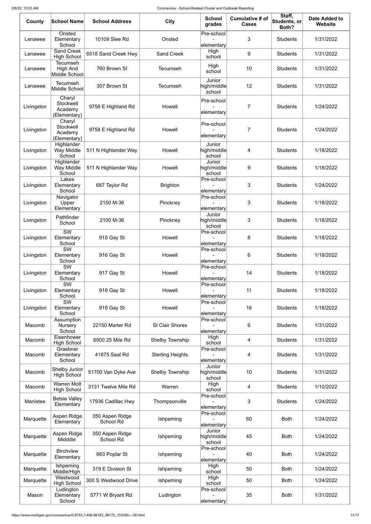| County     | <b>School Name</b>                                  | <b>School Address</b>        | <b>City</b>             | <b>School</b><br>grades         | <b>Cumulative # of</b><br><b>Cases</b> | Staff,<br>Students, or<br>Both? | <b>Date Added to</b><br><b>Website</b> |
|------------|-----------------------------------------------------|------------------------------|-------------------------|---------------------------------|----------------------------------------|---------------------------------|----------------------------------------|
| Lenawee    | Onsted<br>Elementary<br>School                      | 10109 Slee Rd                | Onsted                  | Pre-school<br>elementary        | 3                                      | <b>Students</b>                 | 1/31/2022                              |
| Lenawee    | <b>Sand Creek</b><br><b>High School</b>             | 6518 Sand Creek Hwy          | <b>Sand Creek</b>       | High<br>school                  | 9                                      | <b>Students</b>                 | 1/31/2022                              |
| Lenawee    | <b>Tecumseh</b><br><b>High And</b><br>Middle School | 760 Brown St                 | <b>Tecumseh</b>         | High<br>school                  | 10                                     | <b>Students</b>                 | 1/31/2022                              |
| Lenawee    | <b>Tecumseh</b><br>Middle School                    | 307 Brown St                 | <b>Tecumseh</b>         | Junior<br>high/middle<br>school | 12                                     | <b>Students</b>                 | 1/31/2022                              |
| Livingston | Charyl<br>Stockwell<br>Academy<br>(Elementary)      | 9758 E Highland Rd           | Howell                  | Pre-school<br>elementary        | 7                                      | <b>Students</b>                 | 1/24/2022                              |
| Livingston | Charyl<br>Stockwell<br>Academy<br>(Elementary)      | 9758 E Highland Rd           | Howell                  | Pre-school<br>elementary        | 7                                      | <b>Students</b>                 | 1/24/2022                              |
| Livingston | Highlander<br>Way Middle<br>School                  | 511 N Highlander Way         | Howell                  | Junior<br>high/middle<br>school | 4                                      | <b>Students</b>                 | 1/18/2022                              |
| Livingston | Highlander<br>Way Middle<br>School                  | 511 N Highlander Way         | Howell                  | Junior<br>high/middle<br>school | 9                                      | <b>Students</b>                 | 1/18/2022                              |
| Livingston | Lakes<br>Elementary<br>School                       | 687 Taylor Rd                | <b>Brighton</b>         | Pre-school<br>elementary        | 3                                      | <b>Students</b>                 | 1/24/2022                              |
| Livingston | Navigator<br>Upper<br>Elementary                    | 2150 M-36                    | Pinckney                | Pre-school<br>elementary        | 3                                      | <b>Students</b>                 | 1/18/2022                              |
| Livingston | Pathfinder<br>School                                | 2100 M-36                    | Pinckney                | Junior<br>high/middle<br>school | 3                                      | <b>Students</b>                 | 1/18/2022                              |
| Livingston | $\overline{\text{SW}}$<br>Elementary<br>School      | 915 Gay St                   | Howell                  | Pre-school<br>elementary        | 8                                      | <b>Students</b>                 | 1/18/2022                              |
| Livingston | <b>SW</b><br>Elementary<br>School                   | 916 Gay St                   | Howell                  | Pre-school<br>elementary        | 6                                      | <b>Students</b>                 | 1/18/2022                              |
| Livingston | SW<br>Elementary<br>School                          | 917 Gay St                   | Howell                  | Pre-school<br>elementary        | 14                                     | <b>Students</b>                 | 1/18/2022                              |
| Livingston | $\overline{\text{SW}}$<br>Elementary<br>School      | 918 Gay St                   | Howell                  | Pre-school<br>elementary        | 11                                     | <b>Students</b>                 | 1/18/2022                              |
| Livingston | $\overline{\text{SW}}$<br>Elementary<br>School      | 919 Gay St                   | Howell                  | Pre-school<br>elementary        | 16                                     | <b>Students</b>                 | 1/18/2022                              |
| Macomb     | Assumption<br>Nursery<br>School                     | 22150 Marter Rd              | <b>St Clair Shores</b>  | Pre-school<br>elementary        | 6                                      | <b>Students</b>                 | 1/31/2022                              |
| Macomb     | Eisenhower<br><b>High School</b><br>Graebner        | 6500 25 Mile Rd              | Shelby Township         | High<br>school<br>Pre-school    | 4                                      | <b>Students</b>                 | 1/31/2022                              |
| Macomb     | Elementary<br>School                                | 41875 Saal Rd                | <b>Sterling Heights</b> | elementary                      | 4                                      | <b>Students</b>                 | 1/31/2022                              |
| Macomb     | Shelby Junior<br><b>High School</b>                 | 51700 Van Dyke Ave           | Shelby Township         | Junior<br>high/middle<br>school | 10                                     | <b>Students</b>                 | 1/31/2022                              |
| Macomb     | <b>Warren Mott</b><br><b>High School</b>            | 3131 Twelve Mile Rd          | Warren                  | High<br>school                  | 4                                      | <b>Students</b>                 | 1/10/2022                              |
| Manistee   | <b>Betsie Valley</b><br>Elementary                  | 17936 Cadillac Hwy           | Thompsonville           | Pre-school<br>elementary        | 3                                      | <b>Students</b>                 | 1/24/2022                              |
| Marquette  | Aspen Ridge<br>Elementary                           | 350 Aspen Ridge<br>School Rd | Ishpeming               | Pre-school<br>elementary        | 60                                     | <b>Both</b>                     | 1/24/2022                              |
| Marquette  | Aspen Ridge<br>Midddle                              | 350 Aspen Ridge<br>School Rd | Ishpeming               | Junior<br>high/middle<br>school | 45                                     | <b>Both</b>                     | 1/24/2022                              |
| Marquette  | <b>Birchview</b><br>Elementary                      | 663 Poplar St                | Ishpeming               | Pre-school<br>elementary        | 40                                     | <b>Both</b>                     | 1/24/2022                              |
| Marquette  | Ishpeming<br>Middle/High                            | 319 E Division St            | Ishpeming               | High<br>school                  | 50                                     | <b>Both</b>                     | 1/24/2022                              |
| Marquette  | Westwood<br><b>High School</b><br>Ludington         | 300 S Westwood Drive         | Ishpeming               | High<br>school<br>Pre-school    | 50                                     | <b>Both</b>                     | 1/24/2022                              |
| Mason      | Elementary<br>School                                | 5771 W Bryant Rd             | Ludington               | elementary                      | 35                                     | <b>Both</b>                     | 1/31/2022                              |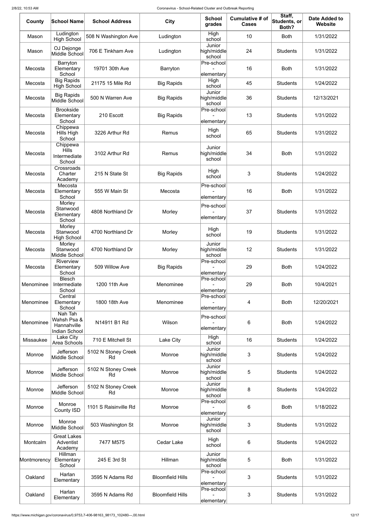| County      | <b>School Name</b>                                            | <b>School Address</b>     | <b>City</b>             | <b>School</b><br>grades         | <b>Cumulative # of</b><br><b>Cases</b> | Staff,<br>Students, or<br>Both? | <b>Date Added to</b><br><b>Website</b> |
|-------------|---------------------------------------------------------------|---------------------------|-------------------------|---------------------------------|----------------------------------------|---------------------------------|----------------------------------------|
| Mason       | Ludington<br><b>High School</b>                               | 508 N Washington Ave      | Ludington               | High<br>school                  | 10                                     | <b>Both</b>                     | 1/31/2022                              |
| Mason       | OJ Dejonge<br>Middle School                                   | 706 E Tinkham Ave         | Ludington               | Junior<br>high/middle<br>school | 24                                     | <b>Students</b>                 | 1/31/2022                              |
| Mecosta     | Barryton<br>Elementary<br>School                              | 19701 30th Ave            | Barryton                | Pre-school<br>elementary        | 16                                     | <b>Both</b>                     | 1/31/2022                              |
| Mecosta     | <b>Big Rapids</b><br><b>High School</b>                       | 21175 15 Mile Rd          | <b>Big Rapids</b>       | High<br>school                  | 45                                     | <b>Students</b>                 | 1/24/2022                              |
| Mecosta     | <b>Big Rapids</b><br>Middle School                            | 500 N Warren Ave          | <b>Big Rapids</b>       | Junior<br>high/middle<br>school | 36                                     | <b>Students</b>                 | 12/13/2021                             |
| Mecosta     | <b>Brookside</b><br>Elementary<br>School                      | 210 Escott                | <b>Big Rapids</b>       | Pre-school<br>elementary        | 13                                     | <b>Students</b>                 | 1/31/2022                              |
| Mecosta     | Chippewa<br>Hills High<br>School                              | 3226 Arthur Rd            | Remus                   | High<br>school                  | 65                                     | <b>Students</b>                 | 1/31/2022                              |
| Mecosta     | Chippewa<br><b>Hills</b><br>Intermediate<br>School            | 3102 Arthur Rd            | Remus                   | Junior<br>high/middle<br>school | 34                                     | <b>Both</b>                     | 1/31/2022                              |
| Mecosta     | Crossroads<br>Charter<br>Academy                              | 215 N State St            | <b>Big Rapids</b>       | High<br>school                  | 3                                      | <b>Students</b>                 | 1/24/2022                              |
| Mecosta     | Mecosta<br>Elementary<br>School                               | 555 W Main St             | Mecosta                 | Pre-school<br>elementary        | 16                                     | <b>Both</b>                     | 1/31/2022                              |
| Mecosta     | Morley<br>Stanwood<br>Elementary<br>School                    | 4808 Northland Dr         | Morley                  | Pre-school<br>elementary        | 37                                     | <b>Students</b>                 | 1/31/2022                              |
| Mecosta     | Morley<br>Stanwood<br><b>High School</b>                      | 4700 Northland Dr         | Morley                  | High<br>school                  | 19                                     | <b>Students</b>                 | 1/31/2022                              |
| Mecosta     | Morley<br>Stanwood<br>Middle School                           | 4700 Northland Dr         | Morley                  | Junior<br>high/middle<br>school | 12                                     | <b>Students</b>                 | 1/31/2022                              |
| Mecosta     | Riverview<br>Elementary<br>School                             | 509 Willow Ave            | <b>Big Rapids</b>       | Pre-school<br>elementary        | 29                                     | <b>Both</b>                     | 1/24/2022                              |
| Menominee   | <b>Blesch</b><br>Intermediate<br>School                       | 1200 11th Ave             | Menominee               | Pre-school<br>elementary        | 29                                     | <b>Both</b>                     | 10/4/2021                              |
| Menominee   | Central<br>Elementary<br>School                               | 1800 18th Ave             | Menominee               | Pre-school<br>elementary        | 4                                      | <b>Both</b>                     | 12/20/2021                             |
| Menominee   | Nah Tah<br>Wahsh Psa &<br>Hannahville<br><b>Indian School</b> | N14911 B1 Rd              | Wilson                  | Pre-school<br>elementary        | 6                                      | <b>Both</b>                     | 1/24/2022                              |
| Missaukee   | Lake City<br>Area Schools                                     | 710 E Mitchell St         | Lake City               | High<br>school                  | 16                                     | <b>Students</b>                 | 1/24/2022                              |
| Monroe      | Jefferson<br>Middle School                                    | 5102 N Stoney Creek<br>Rd | Monroe                  | Junior<br>high/middle<br>school | 3                                      | <b>Students</b>                 | 1/24/2022                              |
| Monroe      | Jefferson<br>Middle School                                    | 5102 N Stoney Creek<br>Rd | Monroe                  | Junior<br>high/middle<br>school | 5                                      | <b>Students</b>                 | 1/24/2022                              |
| Monroe      | Jefferson<br>Middle School                                    | 5102 N Stoney Creek<br>Rd | Monroe                  | Junior<br>high/middle<br>school | 8                                      | <b>Students</b>                 | 1/24/2022                              |
| Monroe      | Monroe<br><b>County ISD</b>                                   | 1101 S Raisinville Rd     | Monroe                  | Pre-school<br>elementary        | 6                                      | <b>Both</b>                     | 1/18/2022                              |
| Monroe      | Monroe<br>Middle School                                       | 503 Washington St         | Monroe                  | Junior<br>high/middle<br>school | 3                                      | <b>Students</b>                 | 1/31/2022                              |
| Montcalm    | <b>Great Lakes</b><br>Adventist<br>Academy                    | 7477 M575                 | <b>Cedar Lake</b>       | High<br>school                  | 6                                      | <b>Students</b>                 | 1/24/2022                              |
| Montmorency | Hillman<br>Elementary<br>School                               | 245 E 3rd St              | Hillman                 | Junior<br>high/middle<br>school | 5                                      | <b>Both</b>                     | 1/31/2022                              |
| Oakland     | Harlan<br>Elementary                                          | 3595 N Adams Rd           | <b>Bloomfield Hills</b> | Pre-school<br>elementary        | 3                                      | <b>Students</b>                 | 1/31/2022                              |
| Oakland     | Harlan<br>Elementary                                          | 3595 N Adams Rd           | <b>Bloomfield Hills</b> | Pre-school<br>elementary        | 3                                      | <b>Students</b>                 | 1/31/2022                              |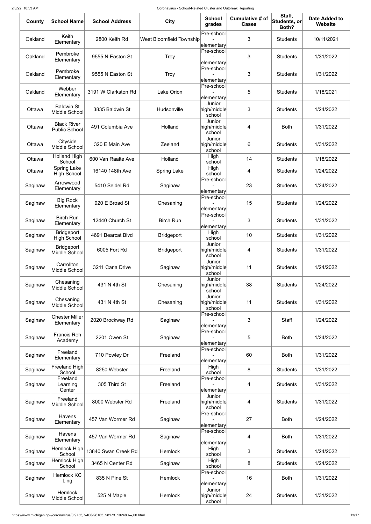| County  | <b>School Name</b>                         | <b>School Address</b> | <b>City</b>              | <b>School</b><br>grades         | <b>Cumulative # of</b><br><b>Cases</b> | Staff,<br>Students, or<br>Both? | <b>Date Added to</b><br><b>Website</b> |
|---------|--------------------------------------------|-----------------------|--------------------------|---------------------------------|----------------------------------------|---------------------------------|----------------------------------------|
| Oakland | Keith<br>Elementary                        | 2800 Keith Rd         | West Bloomfield Township | Pre-school<br>elementary        | 3                                      | <b>Students</b>                 | 10/11/2021                             |
| Oakland | Pembroke<br>Elementary                     | 9555 N Easton St      | <b>Troy</b>              | Pre-school<br>elementary        | 3                                      | <b>Students</b>                 | 1/31/2022                              |
| Oakland | Pembroke<br>Elementary                     | 9555 N Easton St      | Troy                     | Pre-school<br>elementary        | 3                                      | <b>Students</b>                 | 1/31/2022                              |
| Oakland | <b>Webber</b><br>Elementary                | 3191 W Clarkston Rd   | Lake Orion               | Pre-school<br>elementary        | 5                                      | <b>Students</b>                 | 1/18/2021                              |
| Ottawa  | <b>Baldwin St</b><br>Middle School         | 3835 Baldwin St       | Hudsonville              | Junior<br>high/middle<br>school | 3                                      | <b>Students</b>                 | 1/24/2022                              |
| Ottawa  | <b>Black River</b><br><b>Public School</b> | 491 Columbia Ave      | Holland                  | Junior<br>high/middle<br>school | 4                                      | <b>Both</b>                     | 1/31/2022                              |
| Ottawa  | Cityside<br>Middle School                  | 320 E Main Ave        | Zeeland                  | Junior<br>high/middle<br>school | 6                                      | <b>Students</b>                 | 1/31/2022                              |
| Ottawa  | <b>Holland High</b><br>School              | 600 Van Raalte Ave    | Holland                  | High<br>school                  | 14                                     | <b>Students</b>                 | 1/18/2022                              |
| Ottawa  | Spring Lake<br><b>High School</b>          | 16140 148th Ave       | <b>Spring Lake</b>       | High<br>school                  | 4                                      | <b>Students</b>                 | 1/24/2022                              |
| Saginaw | Arrowwood<br>Elementary                    | 5410 Seidel Rd        | Saginaw                  | Pre-school<br>elementary        | 23                                     | <b>Students</b>                 | 1/24/2022                              |
| Saginaw | <b>Big Rock</b><br>Elementary              | 920 E Broad St        | Chesaning                | Pre-school<br>elementary        | 15                                     | <b>Students</b>                 | 1/24/2022                              |
| Saginaw | <b>Birch Run</b><br>Elementary             | 12440 Church St       | <b>Birch Run</b>         | Pre-school<br>elementary        | 3                                      | <b>Students</b>                 | 1/31/2022                              |
| Saginaw | <b>Bridgeport</b><br><b>High School</b>    | 4691 Bearcat Blvd     | <b>Bridgeport</b>        | High<br>school                  | 10                                     | <b>Students</b>                 | 1/31/2022                              |
| Saginaw | <b>Bridgeport</b><br>Middle School         | 6005 Fort Rd          | <b>Bridgeport</b>        | Junior<br>high/middle<br>school | 4                                      | <b>Students</b>                 | 1/31/2022                              |
| Saginaw | Carrollton<br>Middle School                | 3211 Carla Drive      | Saginaw                  | Junior<br>high/middle<br>school | 11                                     | <b>Students</b>                 | 1/24/2022                              |
| Saginaw | Chesaning<br>Middle School                 | 431 N 4th St          | Chesaning                | Junior<br>high/middle<br>school | 38                                     | <b>Students</b>                 | 1/24/2022                              |
| Saginaw | Chesaning<br>Middle School                 | 431 N 4th St          | Chesaning                | Junior<br>high/middle<br>school | 11                                     | <b>Students</b>                 | 1/31/2022                              |
| Saginaw | <b>Chester Miller</b><br>Elementary        | 2020 Brockway Rd      | Saginaw                  | Pre-school<br>elementary        | 3                                      | <b>Staff</b>                    | 1/24/2022                              |
| Saginaw | <b>Francis Reh</b><br>Academy              | 2201 Owen St          | Saginaw                  | Pre-school<br>elementary        | 5                                      | <b>Both</b>                     | 1/24/2022                              |
| Saginaw | Freeland<br>Elementary                     | 710 Powley Dr         | Freeland                 | Pre-school<br>elementary        | 60                                     | <b>Both</b>                     | 1/31/2022                              |
| Saginaw | Freeland High<br>School                    | 8250 Webster          | Freeland                 | High<br>school                  | 8                                      | <b>Students</b>                 | 1/31/2022                              |
| Saginaw | Freeland<br>Learning<br>Center             | 305 Third St          | Freeland                 | Pre-school<br>elementary        | 4                                      | <b>Students</b>                 | 1/31/2022                              |
| Saginaw | Freeland<br>Middle School                  | 8000 Webster Rd       | Freeland                 | Junior<br>high/middle<br>school | 4                                      | <b>Students</b>                 | 1/31/2022                              |
| Saginaw | Havens<br>Elementary                       | 457 Van Wormer Rd     | Saginaw                  | Pre-school<br>elementary        | 27                                     | <b>Both</b>                     | 1/24/2022                              |
| Saginaw | <b>Havens</b><br>Elementary                | 457 Van Wormer Rd     | Saginaw                  | Pre-school<br>elementary        | 4                                      | <b>Both</b>                     | 1/31/2022                              |
| Saginaw | Hemlock High<br>School                     | 13840 Swan Creek Rd   | Hemlock                  | High<br>school                  | 3                                      | <b>Students</b>                 | 1/24/2022                              |
| Saginaw | <b>Hemlock High</b><br>School              | 3465 N Center Rd      | Saginaw                  | High<br>school                  | 8                                      | <b>Students</b>                 | 1/24/2022                              |
| Saginaw | <b>Hemlock KC</b><br>Ling                  | 835 N Pine St         | <b>Hemlock</b>           | Pre-school<br>elementary        | 16                                     | <b>Both</b>                     | 1/31/2022                              |
| Saginaw | <b>Hemlock</b><br>Middle School            | 525 N Maple           | Hemlock                  | Junior<br>high/middle<br>school | 24                                     | <b>Students</b>                 | 1/31/2022                              |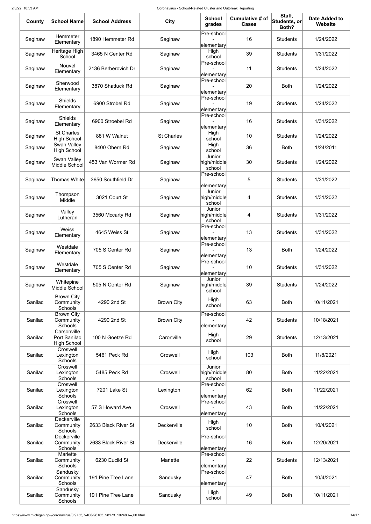| County  | <b>School Name</b>                                | <b>School Address</b> | <b>City</b>       | <b>School</b><br>grades         | <b>Cumulative # of</b><br><b>Cases</b> | Staff,<br>Students, or<br>Both? | <b>Date Added to</b><br>Website |
|---------|---------------------------------------------------|-----------------------|-------------------|---------------------------------|----------------------------------------|---------------------------------|---------------------------------|
| Saginaw | Hemmeter<br>Elementary                            | 1890 Hemmeter Rd      | Saginaw           | Pre-school<br>elementary        | 16                                     | <b>Students</b>                 | 1/24/2022                       |
| Saginaw | Heritage High<br>School                           | 3465 N Center Rd      | Saginaw           | High<br>school                  | 39                                     | <b>Students</b>                 | 1/31/2022                       |
| Saginaw | Nouvel<br>Elementary                              | 2136 Berberovich Dr   | Saginaw           | Pre-school<br>elementary        | 11                                     | <b>Students</b>                 | 1/24/2022                       |
| Saginaw | Sherwood<br>Elementary                            | 3870 Shattuck Rd      | Saginaw           | Pre-school<br>elementary        | 20                                     | <b>Both</b>                     | 1/24/2022                       |
| Saginaw | <b>Shields</b><br>Elementary                      | 6900 Strobel Rd       | Saginaw           | Pre-school<br>elementary        | 19                                     | <b>Students</b>                 | 1/24/2022                       |
| Saginaw | <b>Shields</b><br>Elementary                      | 6900 Stroebel Rd      | Saginaw           | Pre-school<br>elementary        | 16                                     | <b>Students</b>                 | 1/31/2022                       |
| Saginaw | <b>St Charles</b><br><b>High School</b>           | 881 W Walnut          | <b>St Charles</b> | High<br>school                  | 10                                     | <b>Students</b>                 | 1/24/2022                       |
| Saginaw | Swan Valley<br><b>High School</b>                 | 8400 Ohern Rd         | Saginaw           | High<br>school                  | 36                                     | <b>Both</b>                     | 1/24/2011                       |
| Saginaw | Swan Valley<br>Middle School                      | 453 Van Wormer Rd     | Saginaw           | Junior<br>high/middle<br>school | 30                                     | <b>Students</b>                 | 1/24/2022                       |
| Saginaw | <b>Thomas White</b>                               | 3650 Southfield Dr    | Saginaw           | Pre-school<br>elementary        | 5                                      | <b>Students</b>                 | 1/31/2022                       |
| Saginaw | Thompson<br>Middle                                | 3021 Court St         | Saginaw           | Junior<br>high/middle<br>school | 4                                      | <b>Students</b>                 | 1/31/2022                       |
| Saginaw | Valley<br>Lutheran                                | 3560 Mccarty Rd       | Saginaw           | Junior<br>high/middle<br>school | 4                                      | <b>Students</b>                 | 1/31/2022                       |
| Saginaw | <b>Weiss</b><br>Elementary                        | 4645 Weiss St         | Saginaw           | Pre-school<br>elementary        | 13                                     | <b>Students</b>                 | 1/31/2022                       |
| Saginaw | Westdale<br>Elementary                            | 705 S Center Rd       | Saginaw           | Pre-school<br>elementary        | 13                                     | <b>Both</b>                     | 1/24/2022                       |
| Saginaw | Westdale<br>Elementary                            | 705 S Center Rd       | Saginaw           | Pre-school<br>elementary        | 10                                     | <b>Students</b>                 | 1/31/2022                       |
| Saginaw | Whitepine<br>Middle School                        | 505 N Center Rd       | Saginaw           | Junior<br>high/middle<br>school | 39                                     | <b>Students</b>                 | 1/24/2022                       |
| Sanilac | <b>Brown City</b><br>Community<br><b>Schools</b>  | 4290 2nd St           | <b>Brown City</b> | High<br>school                  | 63                                     | <b>Both</b>                     | 10/11/2021                      |
| Sanilac | <b>Brown City</b><br>Community<br>Schools         | 4290 2nd St           | <b>Brown City</b> | Pre-school<br>elementary        | 42                                     | <b>Students</b>                 | 10/18/2021                      |
| Sanilac | Carsonville<br>Port Sanilac<br><b>High School</b> | 100 N Goetze Rd       | Caronville        | High<br>school                  | 29                                     | <b>Students</b>                 | 12/13/2021                      |
| Sanilac | Croswell<br>Lexington<br>Schools                  | 5461 Peck Rd          | Croswell          | High<br>school                  | 103                                    | <b>Both</b>                     | 11/8/2021                       |
| Sanilac | Croswell<br>Lexington<br>Schools                  | 5485 Peck Rd          | Croswell          | Junior<br>high/middle<br>school | 80                                     | <b>Both</b>                     | 11/22/2021                      |
| Sanilac | Croswell<br>Lexington<br>Schools                  | 7201 Lake St          | Lexington         | Pre-school<br>elementary        | 62                                     | <b>Both</b>                     | 11/22/2021                      |
| Sanilac | Croswell<br>Lexington<br>Schools                  | 57 S Howard Ave       | Croswell          | Pre-school<br>elementary        | 43                                     | <b>Both</b>                     | 11/22/2021                      |
| Sanilac | <b>Deckerville</b><br>Community<br><b>Schools</b> | 2633 Black River St   | Deckerville       | High<br>school                  | 10                                     | <b>Both</b>                     | 10/4/2021                       |
| Sanilac | Deckerville<br>Community<br>Schools               | 2633 Black River St   | Deckerville       | Pre-school<br>elementary        | 16                                     | <b>Both</b>                     | 12/20/2021                      |
| Sanilac | Marlette<br>Community<br><b>Schools</b>           | 6230 Euclid St        | Marlette          | Pre-school<br>elementary        | 22                                     | <b>Students</b>                 | 12/13/2021                      |
| Sanilac | Sandusky<br>Community<br><b>Schools</b>           | 191 Pine Tree Lane    | Sandusky          | Pre-school<br>elementary        | 47                                     | <b>Both</b>                     | 10/4/2021                       |
| Sanilac | Sandusky<br>Community<br>Schools                  | 191 Pine Tree Lane    | Sandusky          | High<br>school                  | 49                                     | <b>Both</b>                     | 10/11/2021                      |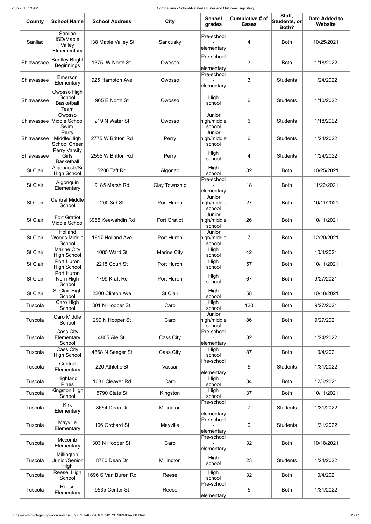| County          | <b>School Name</b>                                   | <b>School Address</b> | <b>City</b>         | <b>School</b><br>grades         | <b>Cumulative # of</b><br><b>Cases</b> | Staff,<br>Students, or<br>Both? | <b>Date Added to</b><br><b>Website</b> |
|-----------------|------------------------------------------------------|-----------------------|---------------------|---------------------------------|----------------------------------------|---------------------------------|----------------------------------------|
| Sanilac         | Sanilac<br><b>ISD/Maple</b><br>Valley<br>Elmementary | 138 Maple Valley St   | Sandusky            | Pre-school<br>elementary        | 4                                      | <b>Both</b>                     | 10/25/2021                             |
| Shiawassee      | Bentley Bright<br><b>Beginnings</b>                  | 1375 W North St       | Owosso              | Pre-school<br>elementary        | 3                                      | <b>Both</b>                     | 1/18/2022                              |
| Shiawassee      | Emerson<br>Elementary                                | 925 Hampton Ave       | Owosso              | Pre-school<br>elementary        | 3                                      | <b>Students</b>                 | 1/24/2022                              |
| Shiawassee      | Owosso High<br>School<br><b>Basketball</b><br>Team   | 965 E North St        | Owosso              | High<br>school                  | 6                                      | <b>Students</b>                 | 1/10/2022                              |
| Shiawassee      | Owosso<br>Middle School<br>Swim                      | 219 N Water St        | Owosso              | Junior<br>high/middle<br>school | 6                                      | <b>Students</b>                 | 1/18/2022                              |
| Shiawassee      | Perry<br>Middle/High<br><b>School Cheer</b>          | 2775 W Britton Rd     | Perry               | Junior<br>high/middle<br>school | 6                                      | <b>Students</b>                 | 1/24/2022                              |
| Shiawassee      | Perry Varsity<br>Girls<br><b>Basketball</b>          | 2555 W Britton Rd     | Perry               | High<br>school                  | 4                                      | <b>Students</b>                 | 1/24/2022                              |
| <b>St Clair</b> | Algonac Jr/Sr<br><b>High School</b>                  | 5200 Taft Rd          | Algonac             | High<br>school                  | 32                                     | <b>Both</b>                     | 10/25/2021                             |
| <b>St Clair</b> | Algonquin<br>Elementary                              | 9185 Marsh Rd         | Clay Township       | Pre-school<br>elementary        | 18                                     | <b>Both</b>                     | 11/22/2021                             |
| <b>St Clair</b> | <b>Central Middle</b><br>School                      | 200 3rd St            | Port Huron          | Junior<br>high/middle<br>school | 27                                     | <b>Both</b>                     | 10/11/2021                             |
| <b>St Clair</b> | <b>Fort Gratiot</b><br>Middle School                 | 3985 Keewahdin Rd     | <b>Fort Gratiot</b> | Junior<br>high/middle<br>school | 26                                     | <b>Both</b>                     | 10/11/2021                             |
| <b>St Clair</b> | Holland<br><b>Woods Middle</b><br>School             | 1617 Holland Ave      | Port Huron          | Junior<br>high/middle<br>school | 7                                      | <b>Both</b>                     | 12/20/2021                             |
| <b>St Clair</b> | <b>Marine City</b><br><b>High School</b>             | 1085 Ward St          | <b>Marine City</b>  | High<br>school                  | 42                                     | <b>Both</b>                     | 10/4/2021                              |
| <b>St Clair</b> | Port Huron<br><b>High School</b>                     | 2215 Court St         | Port Huron          | High<br>school                  | 57                                     | <b>Both</b>                     | 10/11/2021                             |
| <b>St Clair</b> | Port Huron<br>Nern High<br>School                    | 1799 Kraft Rd         | Port Huron          | High<br>school                  | 67                                     | <b>Both</b>                     | 9/27/2021                              |
| St Clair        | St Clair High<br>School                              | 2200 Clinton Ave      | St Clair            | High<br>school                  | 58                                     | <b>Both</b>                     | 10/18/2021                             |
| Tuscola         | Caro High<br>School                                  | 301 N Hooper St       | Caro                | High<br>school                  | 120                                    | <b>Both</b>                     | 9/27/2021                              |
| Tuscola         | <b>Caro Middle</b><br>School                         | 299 N Hooper St       | Caro                | Junior<br>high/middle<br>school | 86                                     | <b>Both</b>                     | 9/27/2021                              |
| Tuscola         | Cass City<br>Elementary<br>School                    | 4805 Ale St           | Cass City           | Pre-school<br>elementary        | 32                                     | <b>Both</b>                     | 1/24/2022                              |
| Tuscola         | Cass City<br><b>High School</b>                      | 4868 N Seeger St      | Cass City           | High<br>school                  | 87                                     | <b>Both</b>                     | 10/4/2021                              |
| Tuscola         | Central<br>Elementary                                | 220 Athletic St       | Vassar              | Pre-school<br>elementary        | 5                                      | <b>Students</b>                 | 1/31/2022                              |
| Tuscola         | Highland<br>Pines                                    | 1381 Cleaver Rd       | Caro                | High<br>school                  | 34                                     | <b>Both</b>                     | 12/6/2021                              |
| Tuscola         | Kingston High<br>School                              | 5790 State St         | Kingston            | High<br>school                  | 37                                     | <b>Both</b>                     | 10/11/2021                             |
| Tuscola         | <b>Kirk</b><br>Elementary                            | 8664 Dean Dr          | Millington          | Pre-school<br>elementary        | $\mathbf{7}$                           | <b>Students</b>                 | 1/31/2022                              |
| Tuscola         | Mayville<br>Elementary                               | 106 Orchard St        | Mayville            | Pre-school<br>elementary        | 9                                      | <b>Students</b>                 | 1/31/2022                              |
| Tuscola         | Mccomb<br>Elementary                                 | 303 N Hooper St       | Caro                | Pre-school<br>elementary        | 32                                     | <b>Both</b>                     | 10/18/2021                             |
| Tuscola         | Millington<br>Junior/Senior<br>High                  | 8780 Dean Dr          | Millington          | High<br>school                  | 23                                     | <b>Students</b>                 | 1/24/2022                              |
| Tuscola         | Reese High<br>School                                 | 1696 S Van Buren Rd   | Reese               | High<br>school                  | 32                                     | <b>Both</b>                     | 10/4/2021                              |
| Tuscola         | Reese<br>Elementary                                  | 9535 Center St        | Reese               | Pre-school<br>elementary        | 5                                      | <b>Both</b>                     | 1/31/2022                              |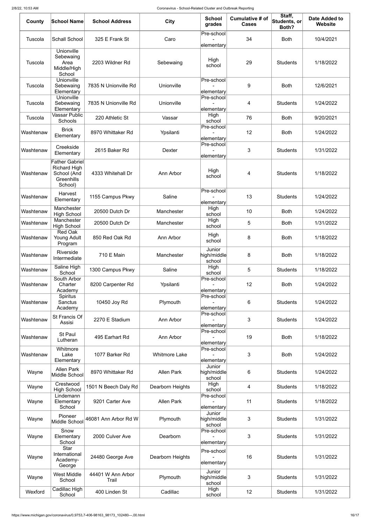| County    | <b>School Name</b>                                                                   | <b>School Address</b>      | <b>City</b>          | <b>School</b><br>grades         | <b>Cumulative # of</b><br><b>Cases</b> | Staff,<br>Students, or<br>Both? | <b>Date Added to</b><br><b>Website</b> |
|-----------|--------------------------------------------------------------------------------------|----------------------------|----------------------|---------------------------------|----------------------------------------|---------------------------------|----------------------------------------|
| Tuscola   | <b>Schall School</b>                                                                 | 325 E Frank St             | Caro                 | Pre-school<br>elementary        | 34                                     | <b>Both</b>                     | 10/4/2021                              |
| Tuscola   | <b>Unionville</b><br>Sebewaing<br>Area<br>Middle/High<br>School                      | 2203 Wildner Rd            | Sebewaing            | High<br>school                  | 29                                     | <b>Students</b>                 | 1/18/2022                              |
| Tuscola   | Unionville<br>Sebewaing<br>Elementary                                                | 7835 N Unionville Rd       | Unionville           | Pre-school<br>elementary        | 9                                      | <b>Both</b>                     | 12/6/2021                              |
| Tuscola   | Unionville<br>Sebewaing<br>Elementary                                                | 7835 N Unionville Rd       | Unionville           | Pre-school<br>elementary        | 4                                      | <b>Students</b>                 | 1/24/2022                              |
| Tuscola   | <b>Vassar Public</b><br>Schools                                                      | 220 Athletic St            | Vassar               | High<br>school                  | 76                                     | <b>Both</b>                     | 9/20/2021                              |
| Washtenaw | <b>Brick</b><br>Elementary                                                           | 8970 Whittaker Rd          | Ypsilanti            | Pre-school<br>elementary        | 12                                     | <b>Both</b>                     | 1/24/2022                              |
| Washtenaw | Creekside<br>Elementary                                                              | 2615 Baker Rd              | <b>Dexter</b>        | Pre-school<br>elementary        | 3                                      | <b>Students</b>                 | 1/31/2022                              |
| Washtenaw | <b>Father Gabriel</b><br><b>Richard High</b><br>School (And<br>Greenhills<br>School) | 4333 Whitehall Dr          | Ann Arbor            | High<br>school                  | 4                                      | <b>Students</b>                 | 1/18/2022                              |
| Washtenaw | Harvest<br>Elementary                                                                | 1155 Campus Pkwy           | Saline               | Pre-school<br>elementary        | 13                                     | <b>Students</b>                 | 1/24/2022                              |
| Washtenaw | Manchester<br><b>High School</b>                                                     | 20500 Dutch Dr             | Manchester           | High<br>school                  | 10                                     | Both                            | 1/24/2022                              |
| Washtenaw | Manchester<br><b>High School</b>                                                     | 20500 Dutch Dr             | Manchester           | High<br>school                  | 5                                      | <b>Both</b>                     | 1/31/2022                              |
| Washtenaw | <b>Red Oak</b><br>Young Adult<br>Program                                             | 850 Red Oak Rd             | Ann Arbor            | High<br>school                  | 8                                      | <b>Both</b>                     | 1/18/2022                              |
| Washtenaw | Riverside<br>Intermediate                                                            | 710 E Main                 | Manchester           | Junior<br>high/middle<br>school | 8                                      | <b>Both</b>                     | 1/18/2022                              |
| Washtenaw | Saline High<br>School                                                                | 1300 Campus Pkwy           | Saline               | High<br>school                  | 5                                      | <b>Students</b>                 | 1/18/2022                              |
| Washtenaw | South Arbor<br>Charter<br>Academy                                                    | 8200 Carpenter Rd          | Ypsilanti            | Pre-school<br>elementary        | 12                                     | <b>Both</b>                     | 1/24/2022                              |
| Washtenaw | Spiritus<br>Sanctus<br>Academy                                                       | 10450 Joy Rd               | Plymouth             | Pre-school<br>elementary        | 6                                      | <b>Students</b>                 | 1/24/2022                              |
| Washtenaw | <b>St Francis Of</b><br>Assisi                                                       | 2270 E Stadium             | Ann Arbor            | Pre-school<br>elementary        | 3                                      | <b>Students</b>                 | 1/24/2022                              |
| Washtenaw | St Paul<br>Lutheran                                                                  | 495 Earhart Rd             | Ann Arbor            | Pre-school<br>elementary        | 19                                     | <b>Both</b>                     | 1/18/2022                              |
| Washtenaw | Whitmore<br>Lake<br>Elementary                                                       | 1077 Barker Rd             | <b>Whitmore Lake</b> | Pre-school<br>elementary        | 3                                      | <b>Both</b>                     | 1/24/2022                              |
| Wayne     | <b>Allen Park</b><br>Middle School                                                   | 8970 Whittaker Rd          | <b>Allen Park</b>    | Junior<br>high/middle<br>school | 6                                      | <b>Students</b>                 | 1/24/2022                              |
| Wayne     | Crestwood<br><b>High School</b>                                                      | 1501 N Beech Daly Rd       | Dearborn Heights     | High<br>school                  | 4                                      | <b>Students</b>                 | 1/18/2022                              |
| Wayne     | Lindemann<br>Elementary<br>School                                                    | 9201 Carter Ave            | <b>Allen Park</b>    | Pre-school<br>elementary        | 11                                     | <b>Students</b>                 | 1/18/2022                              |
| Wayne     | Pioneer<br>Middle School                                                             | 46081 Ann Arbor Rd W       | Plymouth             | Junior<br>high/middle<br>school | 3                                      | <b>Students</b>                 | 1/31/2022                              |
| Wayne     | Snow<br>Elementary<br>School                                                         | 2000 Culver Ave            | Dearborn             | Pre-school<br>elementary        | 3                                      | <b>Students</b>                 | 1/31/2022                              |
| Wayne     | <b>Star</b><br>International<br>Academy-<br>George                                   | 24480 George Ave           | Dearborn Heights     | Pre-school<br>elementary        | 16                                     | <b>Students</b>                 | 1/31/2022                              |
| Wayne     | <b>West Middle</b><br>School                                                         | 44401 W Ann Arbor<br>Trail | Plymouth             | Junior<br>high/middle<br>school | 3                                      | <b>Students</b>                 | 1/31/2022                              |
| Wexford   | Cadillac High<br>School                                                              | 400 Linden St              | Cadillac             | High<br>school                  | 12                                     | <b>Students</b>                 | 1/31/2022                              |